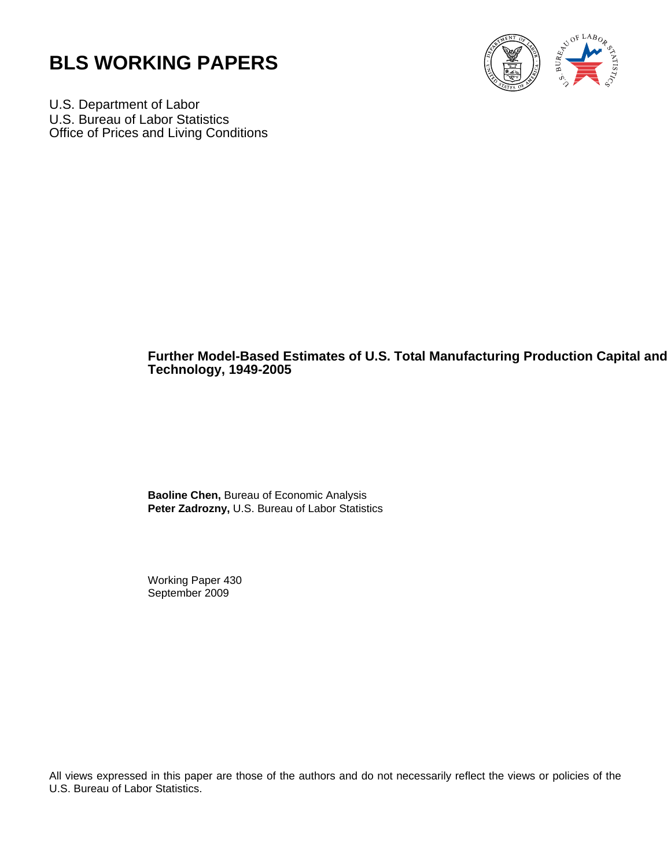



U.S. Department of Labor U.S. Bureau of Labor Statistics Office of Prices and Living Conditions

# **Further Model-Based Estimates of U.S. Total Manufacturing Production Capital and Technology, 1949-2005**

**Baoline Chen,** Bureau of Economic Analysis **Peter Zadrozny,** U.S. Bureau of Labor Statistics

Working Paper 430 September 2009

All views expressed in this paper are those of the authors and do not necessarily reflect the views or policies of the U.S. Bureau of Labor Statistics.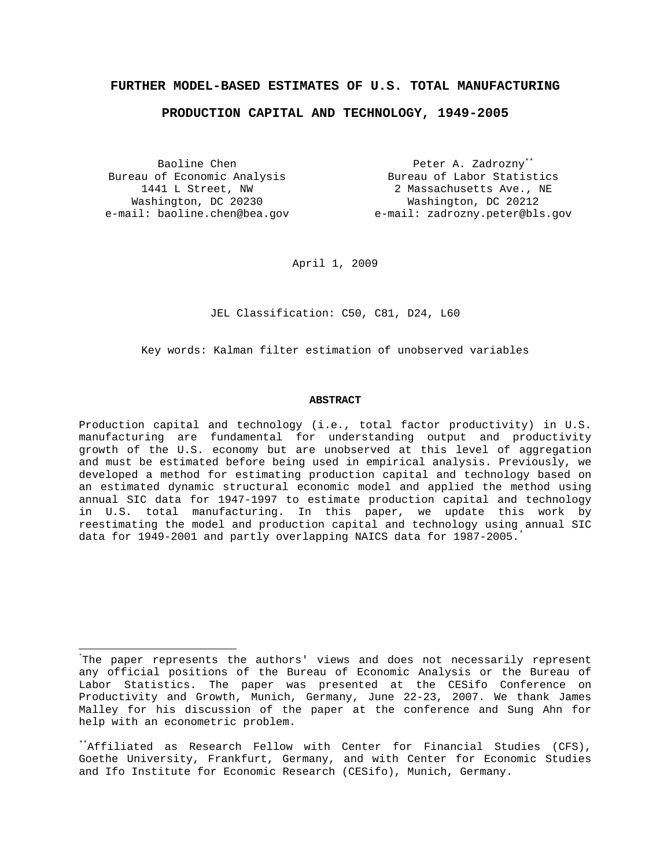## **FURTHER MODEL-BASED ESTIMATES OF U.S. TOTAL MANUFACTURING**

### **PRODUCTION CAPITAL AND TECHNOLOGY, 1949-2005**

Baoline Chen Bureau of Economic Analysis 1441 L Street, NW Washington, DC 20230

e-mail: baoline.chen@bea.gov e-mail: zadrozny.peter@bls.gov Peter A. Zadrozny\*\* Bureau of Labor Statistics 2 Massachusetts Ave., NE Washington, DC 20212

April 1, 2009

JEL Classification: C50, C81, D24, L60

Key words: Kalman filter estimation of unobserved variables

#### **ABSTRACT**

Production capital and technology (i.e., total factor productivity) in U.S. manufacturing are fundamental for understanding output and productivity growth of the U.S. economy but are unobserved at this level of aggregation and must be estimated before being used in empirical analysis. Previously, we developed a method for estimating production capital and technology based on an estimated dynamic structural economic model and applied the method using annual SIC data for 1947-1997 to estimate production capital and technology in U.S. total manufacturing. In this paper, we update this work by reestimating the model and production capital and technology using annual SIC data for 1949-2001 and partly overlapping NAICS data for 1987-2005.

<sup>÷,</sup> \* The paper represents the authors' views and does not necessarily represent any official positions of the Bureau of Economic Analysis or the Bureau of Labor Statistics. The paper was presented at the CESifo Conference on Productivity and Growth, Munich, Germany, June 22-23, 2007. We thank James Malley for his discussion of the paper at the conference and Sung Ahn for help with an econometric problem.

<sup>\*\*</sup>Affiliated as Research Fellow with Center for Financial Studies (CFS), Goethe University, Frankfurt, Germany, and with Center for Economic Studies and Ifo Institute for Economic Research (CESifo), Munich, Germany.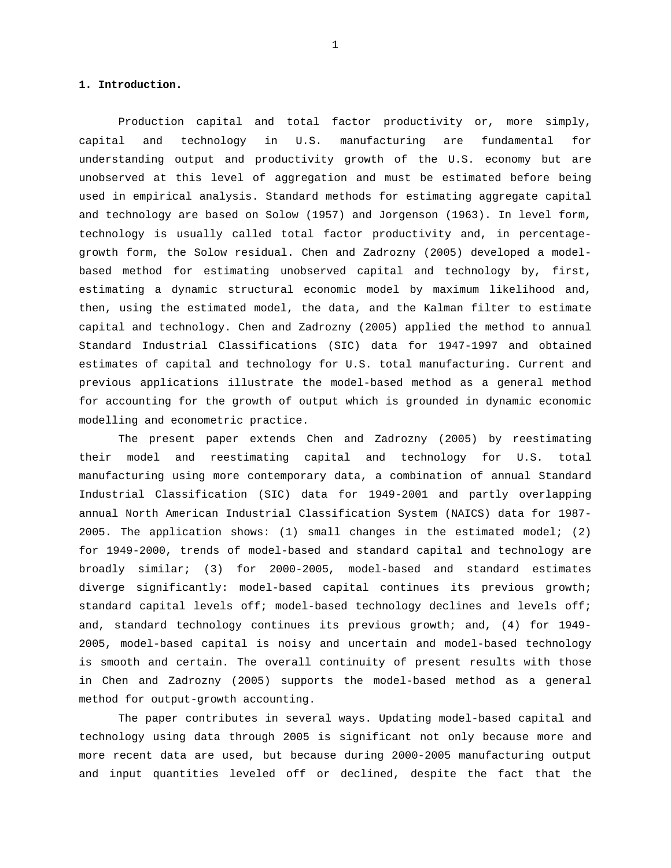## **1. Introduction.**

Production capital and total factor productivity or, more simply, capital and technology in U.S. manufacturing are fundamental for understanding output and productivity growth of the U.S. economy but are unobserved at this level of aggregation and must be estimated before being used in empirical analysis. Standard methods for estimating aggregate capital and technology are based on Solow (1957) and Jorgenson (1963). In level form, technology is usually called total factor productivity and, in percentagegrowth form, the Solow residual. Chen and Zadrozny (2005) developed a modelbased method for estimating unobserved capital and technology by, first, estimating a dynamic structural economic model by maximum likelihood and, then, using the estimated model, the data, and the Kalman filter to estimate capital and technology. Chen and Zadrozny (2005) applied the method to annual Standard Industrial Classifications (SIC) data for 1947-1997 and obtained estimates of capital and technology for U.S. total manufacturing. Current and previous applications illustrate the model-based method as a general method for accounting for the growth of output which is grounded in dynamic economic modelling and econometric practice.

The present paper extends Chen and Zadrozny (2005) by reestimating their model and reestimating capital and technology for U.S. total manufacturing using more contemporary data, a combination of annual Standard Industrial Classification (SIC) data for 1949-2001 and partly overlapping annual North American Industrial Classification System (NAICS) data for 1987- 2005. The application shows: (1) small changes in the estimated model; (2) for 1949-2000, trends of model-based and standard capital and technology are broadly similar; (3) for 2000-2005, model-based and standard estimates diverge significantly: model-based capital continues its previous growth; standard capital levels off; model-based technology declines and levels off; and, standard technology continues its previous growth; and, (4) for 1949- 2005, model-based capital is noisy and uncertain and model-based technology is smooth and certain. The overall continuity of present results with those in Chen and Zadrozny (2005) supports the model-based method as a general method for output-growth accounting.

The paper contributes in several ways. Updating model-based capital and technology using data through 2005 is significant not only because more and more recent data are used, but because during 2000-2005 manufacturing output and input quantities leveled off or declined, despite the fact that the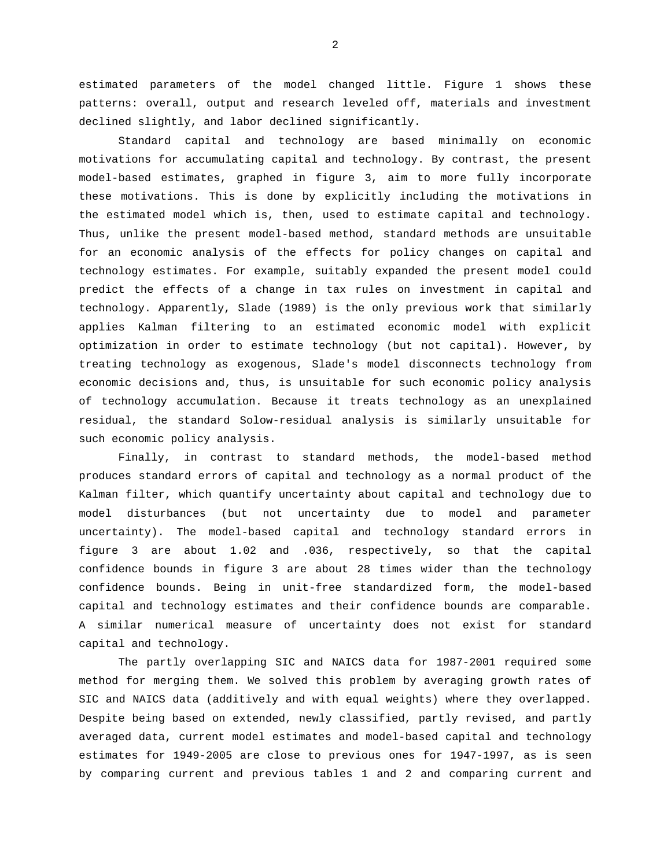estimated parameters of the model changed little. Figure 1 shows these patterns: overall, output and research leveled off, materials and investment declined slightly, and labor declined significantly.

Standard capital and technology are based minimally on economic motivations for accumulating capital and technology. By contrast, the present model-based estimates, graphed in figure 3, aim to more fully incorporate these motivations. This is done by explicitly including the motivations in the estimated model which is, then, used to estimate capital and technology. Thus, unlike the present model-based method, standard methods are unsuitable for an economic analysis of the effects for policy changes on capital and technology estimates. For example, suitably expanded the present model could predict the effects of a change in tax rules on investment in capital and technology. Apparently, Slade (1989) is the only previous work that similarly applies Kalman filtering to an estimated economic model with explicit optimization in order to estimate technology (but not capital). However, by treating technology as exogenous, Slade's model disconnects technology from economic decisions and, thus, is unsuitable for such economic policy analysis of technology accumulation. Because it treats technology as an unexplained residual, the standard Solow-residual analysis is similarly unsuitable for such economic policy analysis.

Finally, in contrast to standard methods, the model-based method produces standard errors of capital and technology as a normal product of the Kalman filter, which quantify uncertainty about capital and technology due to model disturbances (but not uncertainty due to model and parameter uncertainty). The model-based capital and technology standard errors in figure 3 are about 1.02 and .036, respectively, so that the capital confidence bounds in figure 3 are about 28 times wider than the technology confidence bounds. Being in unit-free standardized form, the model-based capital and technology estimates and their confidence bounds are comparable. A similar numerical measure of uncertainty does not exist for standard capital and technology.

The partly overlapping SIC and NAICS data for 1987-2001 required some method for merging them. We solved this problem by averaging growth rates of SIC and NAICS data (additively and with equal weights) where they overlapped. Despite being based on extended, newly classified, partly revised, and partly averaged data, current model estimates and model-based capital and technology estimates for 1949-2005 are close to previous ones for 1947-1997, as is seen by comparing current and previous tables 1 and 2 and comparing current and

2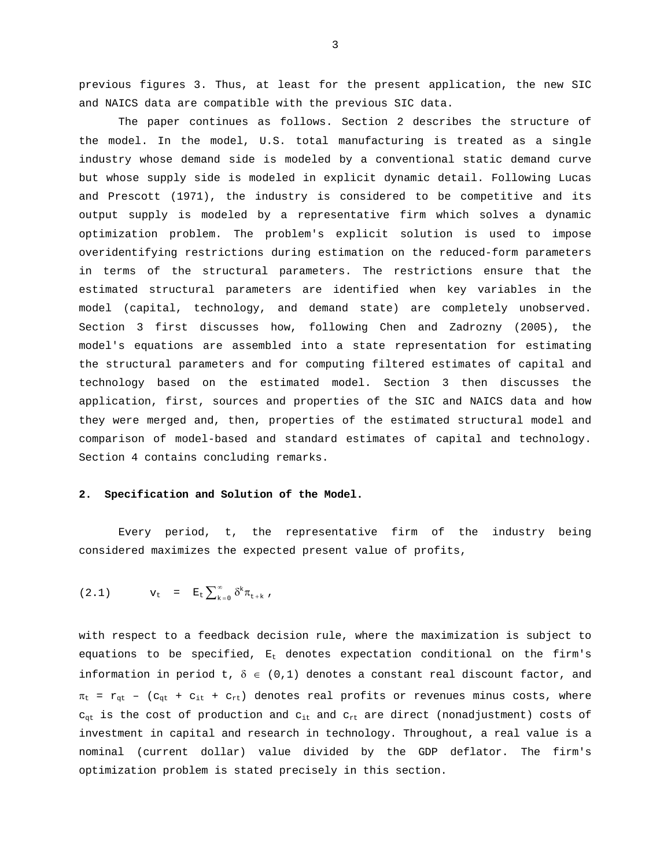previous figures 3. Thus, at least for the present application, the new SIC and NAICS data are compatible with the previous SIC data.

The paper continues as follows. Section 2 describes the structure of the model. In the model, U.S. total manufacturing is treated as a single industry whose demand side is modeled by a conventional static demand curve but whose supply side is modeled in explicit dynamic detail. Following Lucas and Prescott (1971), the industry is considered to be competitive and its output supply is modeled by a representative firm which solves a dynamic optimization problem. The problem's explicit solution is used to impose overidentifying restrictions during estimation on the reduced-form parameters in terms of the structural parameters. The restrictions ensure that the estimated structural parameters are identified when key variables in the model (capital, technology, and demand state) are completely unobserved. Section 3 first discusses how, following Chen and Zadrozny (2005), the model's equations are assembled into a state representation for estimating the structural parameters and for computing filtered estimates of capital and technology based on the estimated model. Section 3 then discusses the application, first, sources and properties of the SIC and NAICS data and how they were merged and, then, properties of the estimated structural model and comparison of model-based and standard estimates of capital and technology. Section 4 contains concluding remarks.

## **2. Specification and Solution of the Model.**

Every period, t, the representative firm of the industry being considered maximizes the expected present value of profits,

(2.1) 
$$
v_t = E_t \sum_{k=0}^{\infty} \delta^k \pi_{t+k}
$$
,

with respect to a feedback decision rule, where the maximization is subject to equations to be specified,  $E_t$  denotes expectation conditional on the firm's information in period t,  $\delta \in (0,1)$  denotes a constant real discount factor, and  $\pi_{t}$  =  $r_{gt}$  - ( $c_{gt}$  +  $c_{it}$  +  $c_{rt}$ ) denotes real profits or revenues minus costs, where  $c_{qt}$  is the cost of production and  $c_{it}$  and  $c_{rt}$  are direct (nonadjustment) costs of investment in capital and research in technology. Throughout, a real value is a nominal (current dollar) value divided by the GDP deflator. The firm's optimization problem is stated precisely in this section.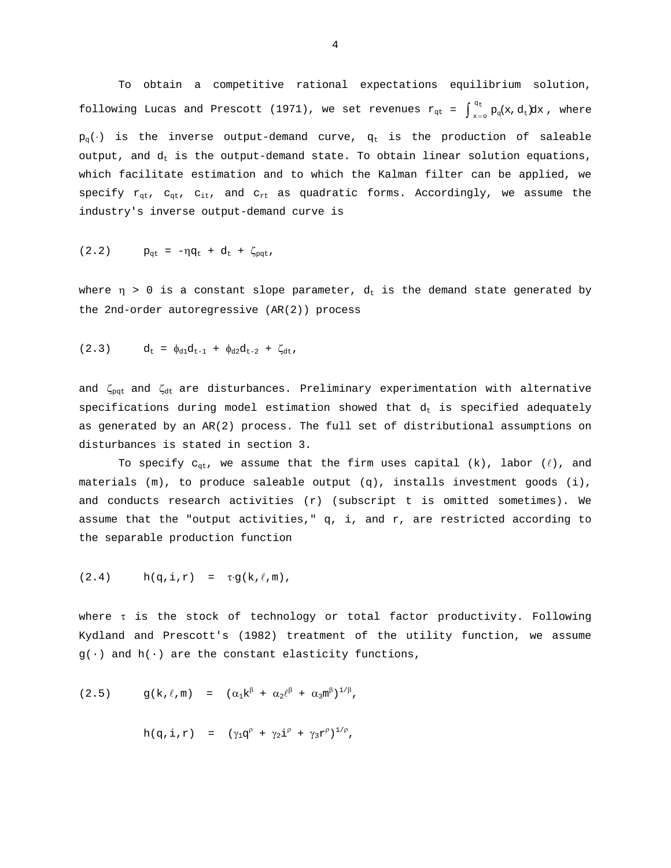To obtain a competitive rational expectations equilibrium solution, following Lucas and Prescott (1971), we set revenues  $r_{qt} = \int_{x=0}^{q_t} p_q(x, d_t) dx$ , where  $p_q(\cdot)$  is the inverse output-demand curve,  $q_t$  is the production of saleable output, and  $d_t$  is the output-demand state. To obtain linear solution equations, which facilitate estimation and to which the Kalman filter can be applied, we specify  $r_{qt}$ ,  $c_{qt}$ ,  $c_{it}$ , and  $c_{rt}$  as quadratic forms. Accordingly, we assume the industry's inverse output-demand curve is

(2.2) 
$$
p_{qt} = -\eta q_t + d_t + \zeta_{pqt}
$$
,

where  $\eta > 0$  is a constant slope parameter,  $d_t$  is the demand state generated by the 2nd-order autoregressive (AR(2)) process

$$
(2.3) \t d_t = \phi_{d1} d_{t-1} + \phi_{d2} d_{t-2} + \zeta_{dt},
$$

and  $\zeta_{\text{pqt}}$  and  $\zeta_{\text{dt}}$  are disturbances. Preliminary experimentation with alternative specifications during model estimation showed that  $d_t$  is specified adequately as generated by an AR(2) process. The full set of distributional assumptions on disturbances is stated in section 3.

To specify  $c_{qt}$ , we assume that the firm uses capital (k), labor ( $\ell$ ), and materials (m), to produce saleable output (q), installs investment goods (i), and conducts research activities (r) (subscript t is omitted sometimes). We assume that the "output activities,"  $q$ , i, and  $r$ , are restricted according to the separable production function

$$
(2.4) \qquad h(q,i,r) = \tau g(k,\ell,m),
$$

where τ is the stock of technology or total factor productivity. Following Kydland and Prescott's (1982) treatment of the utility function, we assume  $g(\cdot)$  and  $h(\cdot)$  are the constant elasticity functions,

(2.5) 
$$
g(k, \ell, m) = (\alpha_1 k^{\beta} + \alpha_2 \ell^{\beta} + \alpha_3 m^{\beta})^{1/\beta},
$$

$$
h(q, i, r) = (\gamma_1 q^p + \gamma_2 i^p + \gamma_3 r^p)^{1/p},
$$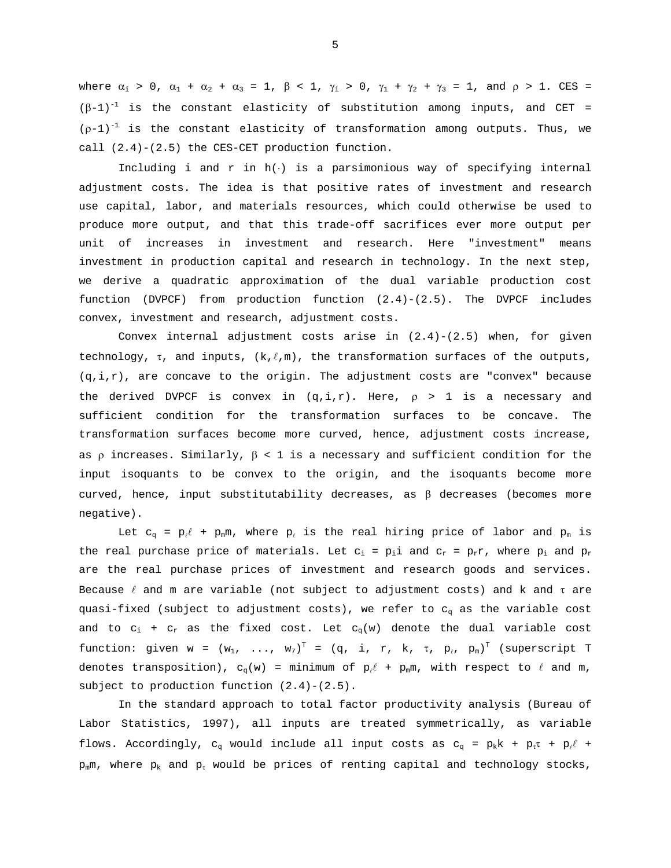where  $\alpha_1 > 0$ ,  $\alpha_1 + \alpha_2 + \alpha_3 = 1$ ,  $\beta < 1$ ,  $\gamma_1 > 0$ ,  $\gamma_1 + \gamma_2 + \gamma_3 = 1$ , and  $\rho > 1$ . CES =  $(\beta-1)^{-1}$  is the constant elasticity of substitution among inputs, and CET =  $(p-1)^{-1}$  is the constant elasticity of transformation among outputs. Thus, we call (2.4)-(2.5) the CES-CET production function.

Including i and r in h(⋅) is a parsimonious way of specifying internal adjustment costs. The idea is that positive rates of investment and research use capital, labor, and materials resources, which could otherwise be used to produce more output, and that this trade-off sacrifices ever more output per unit of increases in investment and research. Here "investment" means investment in production capital and research in technology. In the next step, we derive a quadratic approximation of the dual variable production cost function (DVPCF) from production function (2.4)-(2.5). The DVPCF includes convex, investment and research, adjustment costs.

Convex internal adjustment costs arise in  $(2.4)-(2.5)$  when, for given technology,  $\tau$ , and inputs,  $(k, \ell, m)$ , the transformation surfaces of the outputs,  $(q,i,r)$ , are concave to the origin. The adjustment costs are "convex" because the derived DVPCF is convex in  $(q,i,r)$ . Here,  $p > 1$  is a necessary and sufficient condition for the transformation surfaces to be concave. The transformation surfaces become more curved, hence, adjustment costs increase, as  $\rho$  increases. Similarly,  $\beta$  < 1 is a necessary and sufficient condition for the input isoquants to be convex to the origin, and the isoquants become more curved, hence, input substitutability decreases, as  $\beta$  decreases (becomes more negative).

Let  $c_{\alpha} = p_{\ell} l + p_{\min}$ , where  $p_{\ell}$  is the real hiring price of labor and  $p_{\min}$  is the real purchase price of materials. Let  $c_i = p_i$  and  $c_r = p_r r$ , where  $p_i$  and  $p_r$ are the real purchase prices of investment and research goods and services. Because  $\ell$  and m are variable (not subject to adjustment costs) and k and  $\tau$  are quasi-fixed (subject to adjustment costs), we refer to  $c_q$  as the variable cost and to  $c_i$  +  $c_r$  as the fixed cost. Let  $c_q(w)$  denote the dual variable cost function: given w =  $(w_1, ..., w_7)^T = (q, i, r, k, \tau, p_\ell, p_m)^T$  (superscript T denotes transposition),  $c_q(w)$  = minimum of  $p_\ell \ell + p_m m$ , with respect to  $\ell$  and m, subject to production function (2.4)-(2.5).

 In the standard approach to total factor productivity analysis (Bureau of Labor Statistics, 1997), all inputs are treated symmetrically, as variable flows. Accordingly, c<sub>q</sub> would include all input costs as  $c_q = p_k k + p_t \tau + p_\ell \ell +$  $p_{m}$ m, where  $p_{k}$  and  $p_{\tau}$  would be prices of renting capital and technology stocks,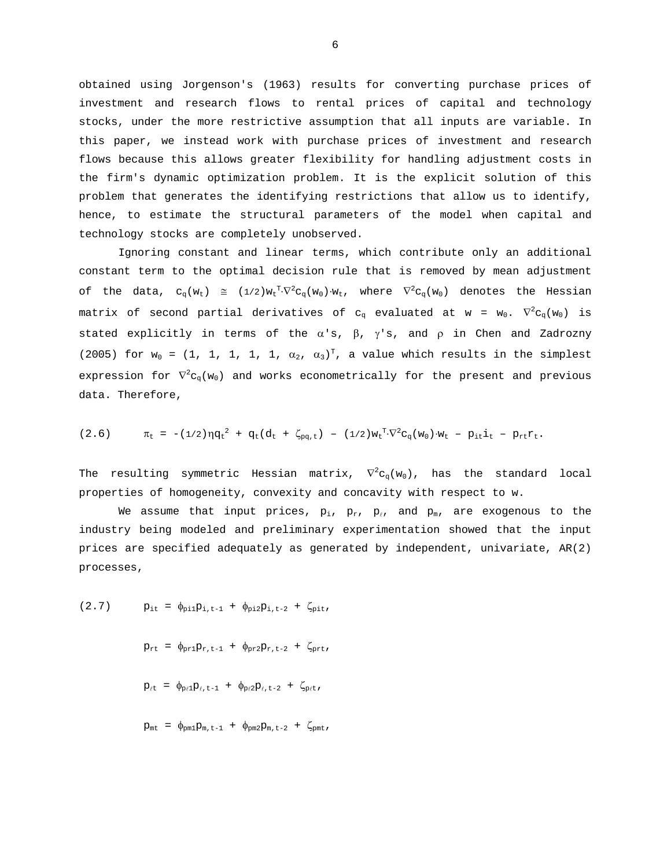obtained using Jorgenson's (1963) results for converting purchase prices of investment and research flows to rental prices of capital and technology stocks, under the more restrictive assumption that all inputs are variable. In this paper, we instead work with purchase prices of investment and research flows because this allows greater flexibility for handling adjustment costs in the firm's dynamic optimization problem. It is the explicit solution of this problem that generates the identifying restrictions that allow us to identify, hence, to estimate the structural parameters of the model when capital and technology stocks are completely unobserved.

 Ignoring constant and linear terms, which contribute only an additional constant term to the optimal decision rule that is removed by mean adjustment of the data,  $c_q(w_t) \cong (1/2)w_t^T \nabla^2 c_q(w_0) \cdot w_t$ , where  $\nabla^2 c_q(w_0)$  denotes the Hessian matrix of second partial derivatives of  ${\tt c}_q$  evaluated at w =  ${\tt w}_0.$   $\nabla^2{\tt c}_q({\tt w}_0)$  is stated explicitly in terms of the  $\alpha$ 's,  $\beta$ ,  $\gamma$ 's, and  $\rho$  in Chen and Zadrozny (2005) for  $w_0 = (1, 1, 1, 1, 1, \alpha_2, \alpha_3)^T$ , a value which results in the simplest expression for  $\nabla^2 \mathtt{c}_\mathtt{q}(\mathtt{w}_0)$  and works econometrically for the present and previous data. Therefore,

$$
(2.6) \t\t \pi_{t} = -(1/2)\eta q_{t}^{2} + q_{t}(d_{t} + \zeta_{pq,t}) - (1/2)w_{t}^{T}\nabla^{2}c_{q}(w_{0})\cdot w_{t} - p_{it}\dot{1}_{t} - p_{rt}r_{t}.
$$

The resulting symmetric Hessian matrix,  $\nabla^2 {\mathsf c}_{\rm q}({\mathtt w}_0)$ , has the standard local properties of homogeneity, convexity and concavity with respect to w.

We assume that input prices,  $p_i$ ,  $p_r$ ,  $p_\ell$ , and  $p_m$ , are exogenous to the industry being modeled and preliminary experimentation showed that the input prices are specified adequately as generated by independent, univariate, AR(2) processes,

(2.7) 
$$
p_{it} = \phi_{pi1}p_{i,t-1} + \phi_{pi2}p_{i,t-2} + \zeta_{pit},
$$

$$
p_{rt} = \phi_{pr1}p_{r,t-1} + \phi_{pr2}p_{r,t-2} + \zeta_{prt},
$$

$$
p_{ft} = \phi_{p\ell1}p_{\ell,t-1} + \phi_{p\ell2}p_{\ell,t-2} + \zeta_{p\ell t},
$$

$$
p_{mt} = \phi_{pm1}p_{m,t-1} + \phi_{pm2}p_{m,t-2} + \zeta_{pmt},
$$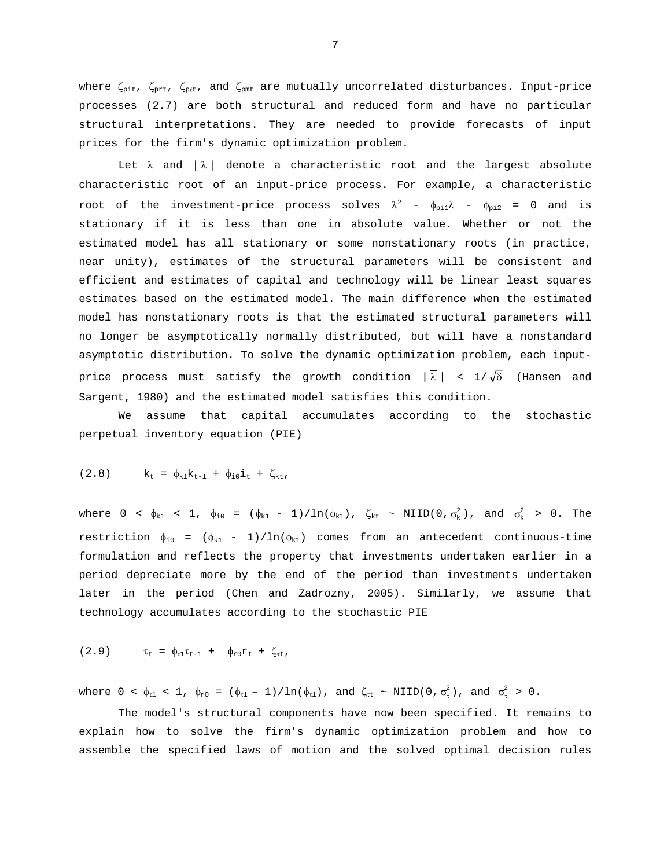where  $\zeta_{\text{pit}}$ ,  $\zeta_{\text{prt}}$ , and  $\zeta_{\text{pm}}$  are mutually uncorrelated disturbances. Input-price processes (2.7) are both structural and reduced form and have no particular structural interpretations. They are needed to provide forecasts of input prices for the firm's dynamic optimization problem.

Let  $\lambda$  and  $|\lambda|$  denote a characteristic root and the largest absolute characteristic root of an input-price process. For example, a characteristic root of the investment-price process solves  $\lambda^2$  -  $\phi_{\rm pi1} \lambda$  -  $\phi_{\rm pi2}$  = 0 and is stationary if it is less than one in absolute value. Whether or not the estimated model has all stationary or some nonstationary roots (in practice, near unity), estimates of the structural parameters will be consistent and efficient and estimates of capital and technology will be linear least squares estimates based on the estimated model. The main difference when the estimated model has nonstationary roots is that the estimated structural parameters will no longer be asymptotically normally distributed, but will have a nonstandard asymptotic distribution. To solve the dynamic optimization problem, each inputprice process must satisfy the growth condition  $|\bar{\lambda}|$  < 1/ $\sqrt{\delta}$  (Hansen and Sargent, 1980) and the estimated model satisfies this condition.

 We assume that capital accumulates according to the stochastic perpetual inventory equation (PIE)

(2.8) 
$$
k_t = \phi_{k1} k_{t-1} + \phi_{i0} i_t + \zeta_{kt},
$$

where  $0 < \phi_{k1} < 1$ ,  $\phi_{i0} = (\phi_{k1} - 1)/\ln(\phi_{k1})$ ,  $\zeta_{kt} \sim \text{NIID}(0, \sigma_k^2)$ , and  $\sigma_k^2 > 0$ . The restriction  $\phi_{i0} = (\phi_{k1} - 1)/\ln(\phi_{k1})$  comes from an antecedent continuous-time formulation and reflects the property that investments undertaken earlier in a period depreciate more by the end of the period than investments undertaken later in the period (Chen and Zadrozny, 2005). Similarly, we assume that technology accumulates according to the stochastic PIE

$$
(2.9) \qquad \tau_{t} = \phi_{\tau 1} \tau_{t-1} + \phi_{r 0} r_{t} + \zeta_{\tau t},
$$

where  $0 < \phi_{\tau 1} < 1$ ,  $\phi_{\tau 0} = (\phi_{\tau 1} - 1)/\ln(\phi_{\tau 1})$ , and  $\zeta_{\tau t} \sim \text{NIID}(0, \sigma_{\tau}^2)$ , and  $\sigma_{\tau}^2 > 0$ .

The model's structural components have now been specified. It remains to explain how to solve the firm's dynamic optimization problem and how to assemble the specified laws of motion and the solved optimal decision rules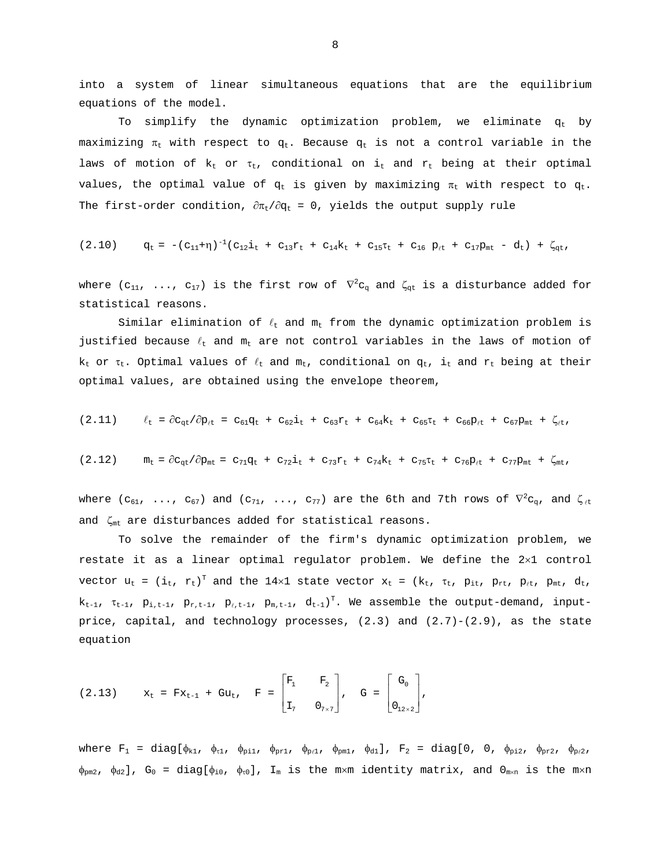into a system of linear simultaneous equations that are the equilibrium equations of the model.

To simplify the dynamic optimization problem, we eliminate  $q_t$  by maximizing  $\pi_t$  with respect to  $q_t$ . Because  $q_t$  is not a control variable in the laws of motion of  $k_t$  or  $\tau_t$ , conditional on i<sub>t</sub> and  $r_t$  being at their optimal values, the optimal value of  $q_t$  is given by maximizing  $\pi_t$  with respect to  $q_t$ . The first-order condition,  $\partial \pi_t / \partial q_t = 0$ , yields the output supply rule

$$
(2.10) \t q_t = -(c_{11}+\eta)^{-1}(c_{12}\dot{1}_t + c_{13}r_t + c_{14}k_t + c_{15}r_t + c_{16}p_{\ell t} + c_{17}p_{\text{mt}} - d_t) + \zeta_{qt},
$$

where (c $_{11}$ , ..., c $_{17})$  is the first row of  $\nabla^2 {\rm c}_{{\rm q}}$  and  $\zeta_{{\rm qt}}$  is a disturbance added for statistical reasons.

Similar elimination of  $\ell_t$  and  $m_t$  from the dynamic optimization problem is justified because  $\ell_t$  and  $m_t$  are not control variables in the laws of motion of  $k_t$  or  $\tau_t$ . Optimal values of  $\ell_t$  and  $m_t$ , conditional on  $q_t$ , i<sub>t</sub> and  $r_t$  being at their optimal values, are obtained using the envelope theorem,

$$
(2.11) \qquad \ell_t = \partial c_{qt} / \partial p_{\ell t} = c_{61} q_t + c_{62} i_t + c_{63} r_t + c_{64} k_t + c_{65} r_t + c_{66} p_{\ell t} + c_{67} p_{mt} + \zeta_{\ell t},
$$

$$
(2.12) \t m_t = \partial c_{qt} / \partial p_{mt} = c_{71} q_t + c_{72} i_t + c_{73} r_t + c_{74} k_t + c_{75} r_t + c_{76} p_{\ell t} + c_{77} p_{mt} + \zeta_{mt},
$$

where ( $c_{61}$ , ...,  $c_{67}$ ) and ( $c_{71}$ , ...,  $c_{77}$ ) are the 6th and 7th rows of  $\nabla^2 c_{\rm q}$ , and  $\zeta_{\ell t}$ and ζmt are disturbances added for statistical reasons.

 To solve the remainder of the firm's dynamic optimization problem, we restate it as a linear optimal regulator problem. We define the 2×1 control vector  $u_t = (i_t, r_t)^T$  and the 14×1 state vector  $x_t = (k_t, r_t, p_{it}, p_{rt}, p_{ft}, p_{mt}, d_t,$  $k_{t-1}$ ,  $\tau_{t-1}$ ,  $p_{i,t-1}$ ,  $p_{r,t-1}$ ,  $p_{m,t-1}$ ,  $d_{t-1}$ )<sup>T</sup>. We assemble the output-demand, inputprice, capital, and technology processes,  $(2.3)$  and  $(2.7)-(2.9)$ , as the state equation

(2.13) 
$$
x_t = Fx_{t-1} + Gu_t, \quad F = \begin{bmatrix} F_1 & F_2 \ I_7 & 0_{7 \times 7} \end{bmatrix}, \quad G = \begin{bmatrix} G_0 \ 0_{12 \times 2} \end{bmatrix},
$$

where  $F_1 = diag[\phi_{k1}, \phi_{r1}, \phi_{p11}, \phi_{p11}, \phi_{p41}, \phi_{pml}, \phi_{dl}], F_2 = diag[0, 0, \phi_{p12}, \phi_{pr2}, \phi_{pr21}]$  $\phi_{pm2}$ ,  $\phi_{a2}$ ], G<sub>0</sub> = diag[ $\phi_{io}$ ,  $\phi_{v0}$ ], I<sub>m</sub> is the m×m identity matrix, and O<sub>m×n</sub> is the m×n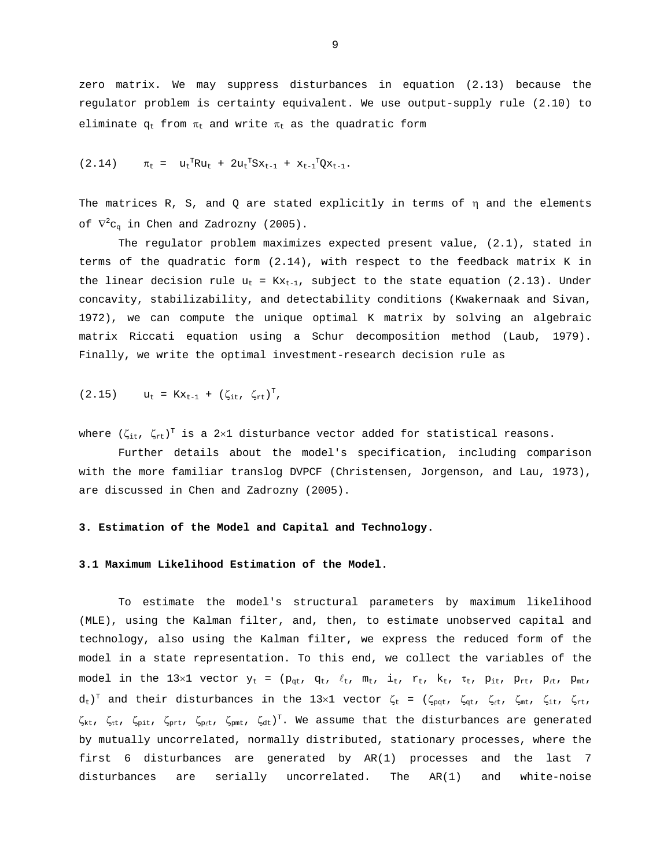zero matrix. We may suppress disturbances in equation (2.13) because the regulator problem is certainty equivalent. We use output-supply rule (2.10) to eliminate  $q_t$  from  $\pi_t$  and write  $\pi_t$  as the quadratic form

$$
(2.14) \t\t \pi_{t} = u_{t}^{T} R u_{t} + 2 u_{t}^{T} S x_{t-1} + x_{t-1}^{T} Q x_{t-1}.
$$

The matrices R, S, and Q are stated explicitly in terms of  $\eta$  and the elements of  $\nabla^2 \mathsf{c}_\mathsf{q}$  in Chen and Zadrozny (2005).

The regulator problem maximizes expected present value, (2.1), stated in terms of the quadratic form (2.14), with respect to the feedback matrix K in the linear decision rule  $u_t = Kx_{t-1}$ , subject to the state equation (2.13). Under concavity, stabilizability, and detectability conditions (Kwakernaak and Sivan, 1972), we can compute the unique optimal K matrix by solving an algebraic matrix Riccati equation using a Schur decomposition method (Laub, 1979). Finally, we write the optimal investment-research decision rule as

$$
(2.15) \t u_{t} = Kx_{t-1} + (\zeta_{it}, \zeta_{rt})^{T},
$$

where  $(\zeta_{\rm it},\;\zeta_{\rm rt})^{\rm T}$  is a 2×1 disturbance vector added for statistical reasons.

 Further details about the model's specification, including comparison with the more familiar translog DVPCF (Christensen, Jorgenson, and Lau, 1973), are discussed in Chen and Zadrozny (2005).

#### **3. Estimation of the Model and Capital and Technology.**

#### **3.1 Maximum Likelihood Estimation of the Model.**

To estimate the model's structural parameters by maximum likelihood (MLE), using the Kalman filter, and, then, to estimate unobserved capital and technology, also using the Kalman filter, we express the reduced form of the model in a state representation. To this end, we collect the variables of the model in the 13×1 vector  $y_t = (p_{qt}, q_t, \ell_t, m_t, i_t, r_t, k_t, \tau_t, p_{it}, p_{rt}, p_{kt}, p_{mt},$  $d_t$ )<sup>T</sup> and their disturbances in the 13×1 vector  $\zeta_t$  = ( $\zeta_{pqt}$ ,  $\zeta_{qt}$ ,  $\zeta_{\ell t}$ ,  $\zeta_{\rm int}$ ,  $\zeta_{\rm it}$ ,  $\zeta_{\rm rt}$ ,  $\zeta_{\rm kt}$ ,  $\zeta_{\rm rt}$ ,  $\zeta_{\rm prt}$ ,  $\zeta_{\rm prt}$ ,  $\zeta_{\rm alt}$ ,  $\zeta_{\rm dt}$ )<sup>T</sup>. We assume that the disturbances are generated by mutually uncorrelated, normally distributed, stationary processes, where the first 6 disturbances are generated by AR(1) processes and the last 7 disturbances are serially uncorrelated. The AR(1) and white-noise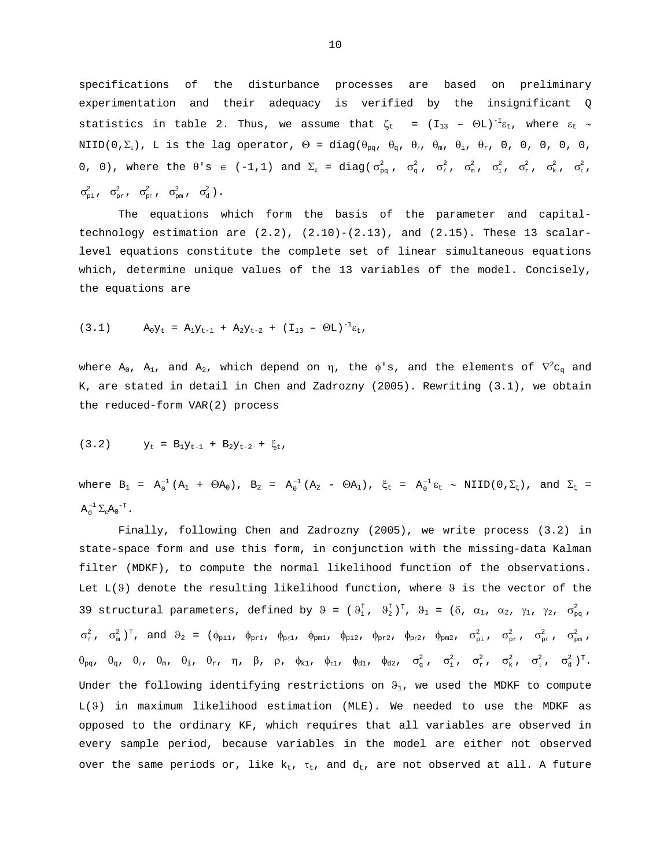specifications of the disturbance processes are based on preliminary experimentation and their adequacy is verified by the insignificant Q statistics in table 2. Thus, we assume that  $\zeta_t = (I_{13} - \Theta L)^{-1} \varepsilon_t$ , where  $\varepsilon_t \sim$ NIID(0, $\Sigma_{\varepsilon}$ ), L is the lag operator,  $\Theta = \text{diag}(\theta_{pq}, \theta_{q}, \theta_{q}, \theta_{n}, \theta_{n}, \theta_{n}, 0, 0, 0, 0, 0, 0)$ 0, 0), where the θ's  $\in$  (-1,1) and  $\Sigma_{\epsilon}$  = diag( $\sigma_{pq}^2$ ,  $\sigma_q^2$ ,  $\sigma_q^2$ ,  $\sigma_{m}^2$ ,  $\sigma_{n}^2$ ,  $\sigma_{r}^2$ ,  $\sigma_{r}^2$ ,  $\sigma_{r}^2$ ,  $\sigma_{\rm pi}^2$ ,  $\sigma_{\rm pr}^2$ ,  $\sigma_{\rm p\ell}^2$ ,  $\sigma_{\rm pm}^2$ ,  $\sigma_{\rm d}^2$ ).

 The equations which form the basis of the parameter and capitaltechnology estimation are  $(2.2)$ ,  $(2.10)-(2.13)$ , and  $(2.15)$ . These 13 scalarlevel equations constitute the complete set of linear simultaneous equations which, determine unique values of the 13 variables of the model. Concisely, the equations are

$$
(3.1) \t\t\t A_0Y_t = A_1Y_{t-1} + A_2Y_{t-2} + (I_{13} - \Theta L)^{-1}\varepsilon_t,
$$

where  $\texttt{A}_0$ ,  $\texttt{A}_1$ , and  $\texttt{A}_2$ , which depend on  $\eta$ , the  $\phi$ 's, and the elements of  $\nabla^2 \texttt{c}_q$  and K, are stated in detail in Chen and Zadrozny (2005). Rewriting (3.1), we obtain the reduced-form VAR(2) process

$$
(3.2) \t Yt = B1Yt-1 + B2Yt-2 + \xit,
$$

where  $B_1$  =  $A_0^{-1}$  ( $A_1$  +  $\Theta A_0$ ),  $B_2$  =  $A_0^{-1}$  ( $A_2$  -  $\Theta A_1$ ),  $\xi_t$  =  $A_0^{-1}$  ε<sub>t</sub> ~ NIID(0, $\Sigma_\xi$ ), and  $\Sigma_\xi$  =  $\mathrm{A}_0^{-1} \, \Sigma_\varepsilon \mathrm{A_0}^{-\mathrm{T}}$  .

Finally, following Chen and Zadrozny (2005), we write process (3.2) in state-space form and use this form, in conjunction with the missing-data Kalman filter (MDKF), to compute the normal likelihood function of the observations. Let  $L(\theta)$  denote the resulting likelihood function, where  $\theta$  is the vector of the 39 structural parameters, defined by  $\vartheta = (\vartheta_1^T, \vartheta_2^T)^T, \vartheta_1 = (\delta, \alpha_1, \alpha_2, \gamma_1, \gamma_2, \sigma_{pq}^2)$  $\sigma_\ell^2$ ,  $\sigma_\mathrm{m}^2$ )<sup>T</sup>, and  $\vartheta_2$  = ( $\phi_\mathrm{pil}$ ,  $\phi_\mathrm{prl}$ ,  $\phi_\mathrm{pnl}$ ,  $\phi_\mathrm{pnl}$ ,  $\phi_\mathrm{pil}$ ,  $\phi_\mathrm{prl}$ ,  $\phi_\mathrm{prl}$ ,  $\phi_\mathrm{prl}$ ,  $\phi_\mathrm{prl}$ ,  $\phi_\mathrm{prl}$ ,  $\sigma_\mathrm{prl}^2$ ,  $\sigma_\mathrm{prl}^2$ ,  $\sigma_\mathrm{prl}^2$ ,  $\sigma_\mathrm{prl}^2$ ,  $\sigma$  $\theta_{pq}$ ,  $\theta_q$ ,  $\theta_\ell$ ,  $\theta_m$ ,  $\theta_i$ ,  $\theta_r$ ,  $\eta$ ,  $\beta$ ,  $\rho$ ,  $\phi_{k1}$ ,  $\phi_{t1}$ ,  $\phi_{d1}$ ,  $\phi_{d2}$ ,  $\sigma_q^2$ ,  $\sigma_i^2$ ,  $\sigma_k^2$ ,  $\sigma_i^2$ ,  $\sigma_d^2$ )<sup>T</sup>. Under the following identifying restrictions on  $\vartheta_1$ , we used the MDKF to compute L(ϑ) in maximum likelihood estimation (MLE). We needed to use the MDKF as opposed to the ordinary KF, which requires that all variables are observed in every sample period, because variables in the model are either not observed over the same periods or, like  $k_t$ ,  $\tau_t$ , and  $d_t$ , are not observed at all. A future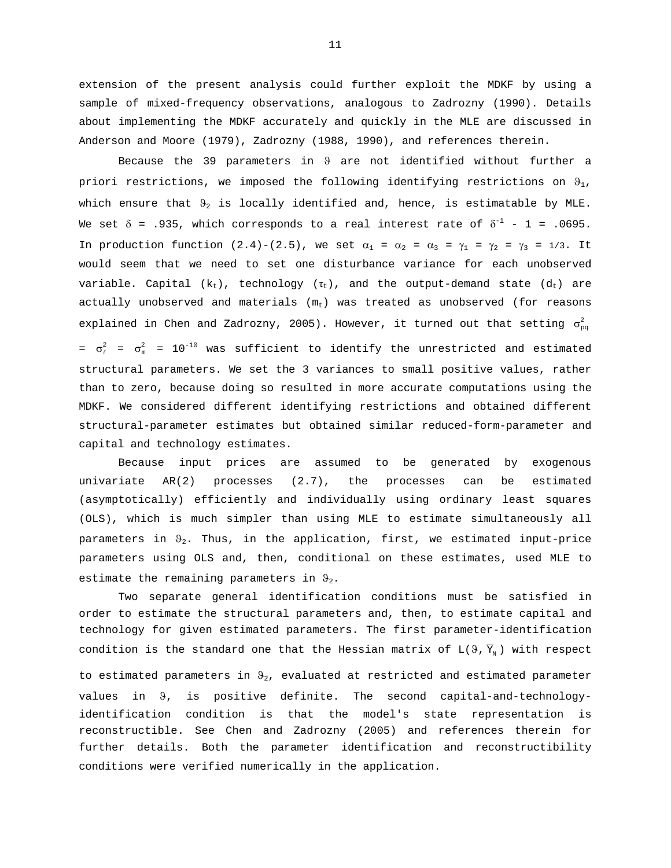extension of the present analysis could further exploit the MDKF by using a sample of mixed-frequency observations, analogous to Zadrozny (1990). Details about implementing the MDKF accurately and quickly in the MLE are discussed in Anderson and Moore (1979), Zadrozny (1988, 1990), and references therein.

Because the 39 parameters in ϑ are not identified without further a priori restrictions, we imposed the following identifying restrictions on  $\vartheta_1$ , which ensure that  $\Theta_2$  is locally identified and, hence, is estimatable by MLE. We set  $\delta$  = .935, which corresponds to a real interest rate of  $\delta^{-1}$  - 1 = .0695. In production function (2.4)-(2.5), we set  $\alpha_1 = \alpha_2 = \alpha_3 = \gamma_1 = \gamma_2 = \gamma_3 = 1/3$ . It would seem that we need to set one disturbance variance for each unobserved variable. Capital  $(k_t)$ , technology  $(\tau_t)$ , and the output-demand state  $(d_t)$  are actually unobserved and materials  $(m_t)$  was treated as unobserved (for reasons explained in Chen and Zadrozny, 2005). However, it turned out that setting  $\sigma_{pq}^2$ =  $\sigma_{\scriptscriptstyle{\mu}}^2$  =  $\sigma_{\scriptscriptstyle{m}}^2$  = 10<sup>-10</sup> was sufficient to identify the unrestricted and estimated structural parameters. We set the 3 variances to small positive values, rather than to zero, because doing so resulted in more accurate computations using the MDKF. We considered different identifying restrictions and obtained different structural-parameter estimates but obtained similar reduced-form-parameter and capital and technology estimates.

Because input prices are assumed to be generated by exogenous univariate AR(2) processes (2.7), the processes can be estimated (asymptotically) efficiently and individually using ordinary least squares (OLS), which is much simpler than using MLE to estimate simultaneously all parameters in  $\vartheta_2$ . Thus, in the application, first, we estimated input-price parameters using OLS and, then, conditional on these estimates, used MLE to estimate the remaining parameters in  $\vartheta_2$ .

Two separate general identification conditions must be satisfied in order to estimate the structural parameters and, then, to estimate capital and technology for given estimated parameters. The first parameter-identification condition is the standard one that the Hessian matrix of  $L(9, \overline{Y}_N)$  with respect to estimated parameters in  $\vartheta_2$ , evaluated at restricted and estimated parameter values in 9, is positive definite. The second capital-and-technologyidentification condition is that the model's state representation is reconstructible. See Chen and Zadrozny (2005) and references therein for further details. Both the parameter identification and reconstructibility conditions were verified numerically in the application.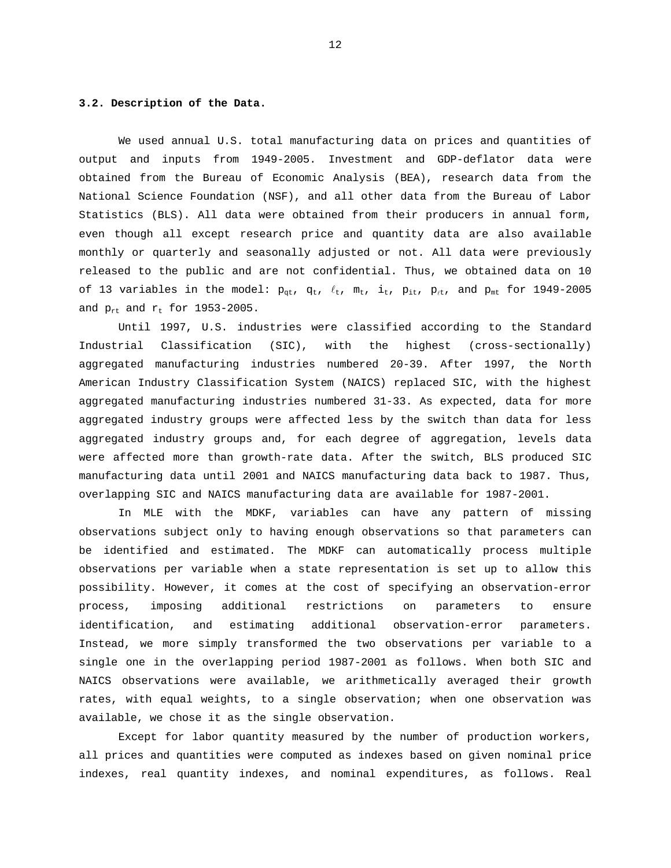#### **3.2. Description of the Data.**

We used annual U.S. total manufacturing data on prices and quantities of output and inputs from 1949-2005. Investment and GDP-deflator data were obtained from the Bureau of Economic Analysis (BEA), research data from the National Science Foundation (NSF), and all other data from the Bureau of Labor Statistics (BLS). All data were obtained from their producers in annual form, even though all except research price and quantity data are also available monthly or quarterly and seasonally adjusted or not. All data were previously released to the public and are not confidential. Thus, we obtained data on 10 of 13 variables in the model:  $p_{qt}$ ,  $q_t$ ,  $\ell_t$ ,  $m_t$ ,  $i_t$ ,  $p_{it}$ ,  $p_{ft}$ , and  $p_{mt}$  for 1949-2005 and  $p_{rt}$  and  $r_t$  for 1953-2005.

Until 1997, U.S. industries were classified according to the Standard Industrial Classification (SIC), with the highest (cross-sectionally) aggregated manufacturing industries numbered 20-39. After 1997, the North American Industry Classification System (NAICS) replaced SIC, with the highest aggregated manufacturing industries numbered 31-33. As expected, data for more aggregated industry groups were affected less by the switch than data for less aggregated industry groups and, for each degree of aggregation, levels data were affected more than growth-rate data. After the switch, BLS produced SIC manufacturing data until 2001 and NAICS manufacturing data back to 1987. Thus, overlapping SIC and NAICS manufacturing data are available for 1987-2001.

In MLE with the MDKF, variables can have any pattern of missing observations subject only to having enough observations so that parameters can be identified and estimated. The MDKF can automatically process multiple observations per variable when a state representation is set up to allow this possibility. However, it comes at the cost of specifying an observation-error process, imposing additional restrictions on parameters to ensure identification, and estimating additional observation-error parameters. Instead, we more simply transformed the two observations per variable to a single one in the overlapping period 1987-2001 as follows. When both SIC and NAICS observations were available, we arithmetically averaged their growth rates, with equal weights, to a single observation; when one observation was available, we chose it as the single observation.

Except for labor quantity measured by the number of production workers, all prices and quantities were computed as indexes based on given nominal price indexes, real quantity indexes, and nominal expenditures, as follows. Real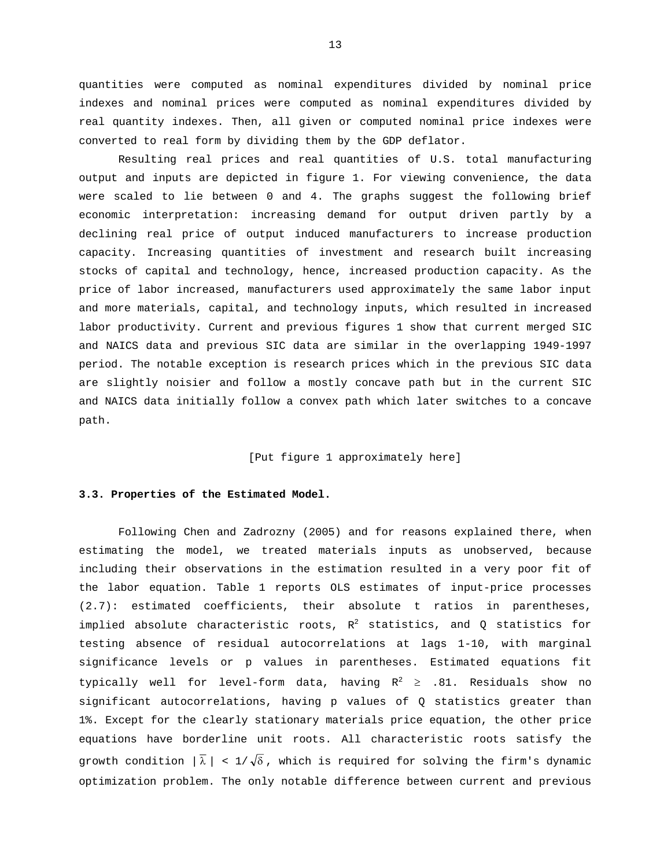quantities were computed as nominal expenditures divided by nominal price indexes and nominal prices were computed as nominal expenditures divided by real quantity indexes. Then, all given or computed nominal price indexes were converted to real form by dividing them by the GDP deflator.

 Resulting real prices and real quantities of U.S. total manufacturing output and inputs are depicted in figure 1. For viewing convenience, the data were scaled to lie between 0 and 4. The graphs suggest the following brief economic interpretation: increasing demand for output driven partly by a declining real price of output induced manufacturers to increase production capacity. Increasing quantities of investment and research built increasing stocks of capital and technology, hence, increased production capacity. As the price of labor increased, manufacturers used approximately the same labor input and more materials, capital, and technology inputs, which resulted in increased labor productivity. Current and previous figures 1 show that current merged SIC and NAICS data and previous SIC data are similar in the overlapping 1949-1997 period. The notable exception is research prices which in the previous SIC data are slightly noisier and follow a mostly concave path but in the current SIC and NAICS data initially follow a convex path which later switches to a concave path.

## [Put figure 1 approximately here]

## **3.3. Properties of the Estimated Model.**

 Following Chen and Zadrozny (2005) and for reasons explained there, when estimating the model, we treated materials inputs as unobserved, because including their observations in the estimation resulted in a very poor fit of the labor equation. Table 1 reports OLS estimates of input-price processes (2.7): estimated coefficients, their absolute t ratios in parentheses, implied absolute characteristic roots,  $R^2$  statistics, and Q statistics for testing absence of residual autocorrelations at lags 1-10, with marginal significance levels or p values in parentheses. Estimated equations fit typically well for level-form data, having  $R^2 \ge .81$ . Residuals show no significant autocorrelations, having p values of Q statistics greater than 1%. Except for the clearly stationary materials price equation, the other price equations have borderline unit roots. All characteristic roots satisfy the growth condition  $|\bar{\lambda}| < 1/\sqrt{\delta}$ , which is required for solving the firm's dynamic optimization problem. The only notable difference between current and previous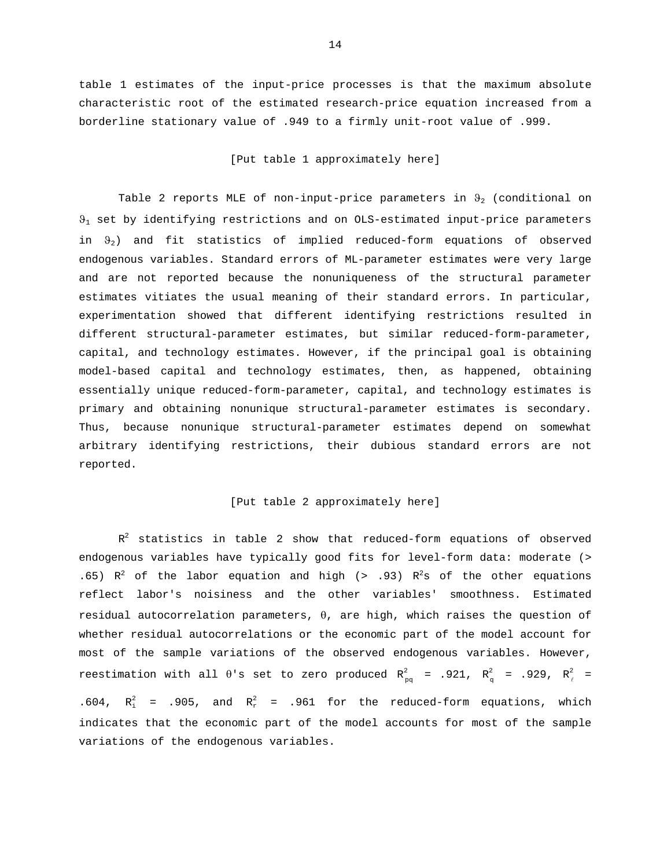table 1 estimates of the input-price processes is that the maximum absolute characteristic root of the estimated research-price equation increased from a borderline stationary value of .949 to a firmly unit-root value of .999.

[Put table 1 approximately here]

Table 2 reports MLE of non-input-price parameters in  $\Theta_2$  (conditional on  $9<sub>1</sub>$  set by identifying restrictions and on OLS-estimated input-price parameters in  $\vartheta_2$ ) and fit statistics of implied reduced-form equations of observed endogenous variables. Standard errors of ML-parameter estimates were very large and are not reported because the nonuniqueness of the structural parameter estimates vitiates the usual meaning of their standard errors. In particular, experimentation showed that different identifying restrictions resulted in different structural-parameter estimates, but similar reduced-form-parameter, capital, and technology estimates. However, if the principal goal is obtaining model-based capital and technology estimates, then, as happened, obtaining essentially unique reduced-form-parameter, capital, and technology estimates is primary and obtaining nonunique structural-parameter estimates is secondary. Thus, because nonunique structural-parameter estimates depend on somewhat arbitrary identifying restrictions, their dubious standard errors are not reported.

### [Put table 2 approximately here]

 $R^2$  statistics in table 2 show that reduced-form equations of observed endogenous variables have typically good fits for level-form data: moderate (> .65)  $R^2$  of the labor equation and high (> .93)  $R^2$ s of the other equations reflect labor's noisiness and the other variables' smoothness. Estimated residual autocorrelation parameters,  $\theta$ , are high, which raises the question of whether residual autocorrelations or the economic part of the model account for most of the sample variations of the observed endogenous variables. However, reestimation with all  $\theta$ 's set to zero produced  $R_{pq}^2$  = .921,  $R_{q}^2$  = .929,  $R_{\ell}^2$  = .604,  $R_i^2$  = .905, and  $R_r^2$  = .961 for the reduced-form equations, which indicates that the economic part of the model accounts for most of the sample variations of the endogenous variables.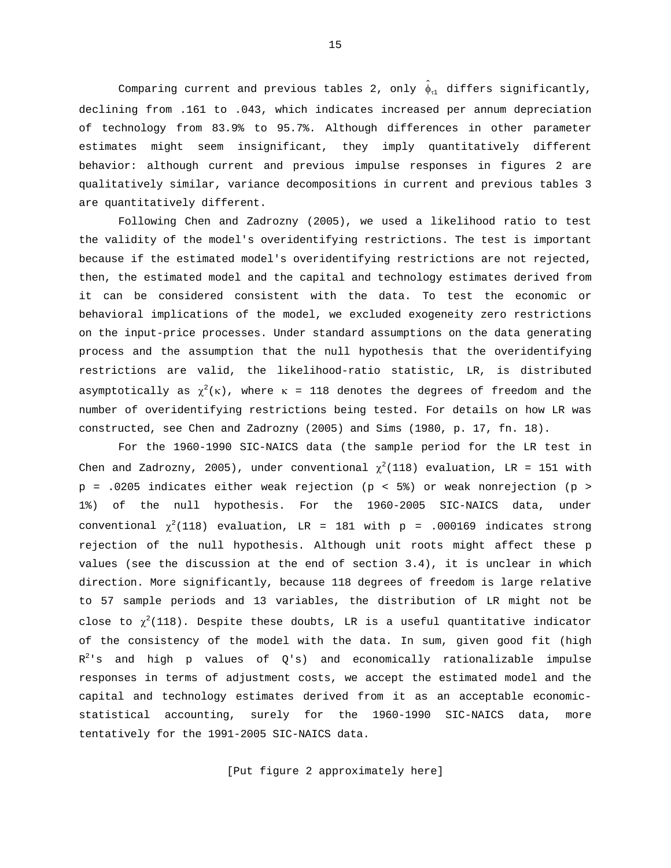Comparing current and previous tables 2, only  $\hat{\phi}_{r1}$  differs significantly, declining from .161 to .043, which indicates increased per annum depreciation of technology from 83.9% to 95.7%. Although differences in other parameter estimates might seem insignificant, they imply quantitatively different behavior: although current and previous impulse responses in figures 2 are qualitatively similar, variance decompositions in current and previous tables 3 are quantitatively different.

Following Chen and Zadrozny (2005), we used a likelihood ratio to test the validity of the model's overidentifying restrictions. The test is important because if the estimated model's overidentifying restrictions are not rejected, then, the estimated model and the capital and technology estimates derived from it can be considered consistent with the data. To test the economic or behavioral implications of the model, we excluded exogeneity zero restrictions on the input-price processes. Under standard assumptions on the data generating process and the assumption that the null hypothesis that the overidentifying restrictions are valid, the likelihood-ratio statistic, LR, is distributed asymptotically as  $\chi^2(\kappa)$ , where  $\kappa$  = 118 denotes the degrees of freedom and the number of overidentifying restrictions being tested. For details on how LR was constructed, see Chen and Zadrozny (2005) and Sims (1980, p. 17, fn. 18).

For the 1960-1990 SIC-NAICS data (the sample period for the LR test in Chen and Zadrozny, 2005), under conventional  $\chi^2(118)$  evaluation, LR = 151 with  $p = .0205$  indicates either weak rejection ( $p < 5$ %) or weak nonrejection ( $p >$ 1%) of the null hypothesis. For the 1960-2005 SIC-NAICS data, under conventional  $\chi^2(118)$  evaluation, LR = 181 with p = .000169 indicates strong rejection of the null hypothesis. Although unit roots might affect these p values (see the discussion at the end of section 3.4), it is unclear in which direction. More significantly, because 118 degrees of freedom is large relative to 57 sample periods and 13 variables, the distribution of LR might not be close to  $\chi^2(118)$ . Despite these doubts, LR is a useful quantitative indicator of the consistency of the model with the data. In sum, given good fit (high  $R^2$ 's and high p values of Q's) and economically rationalizable impulse responses in terms of adjustment costs, we accept the estimated model and the capital and technology estimates derived from it as an acceptable economicstatistical accounting, surely for the 1960-1990 SIC-NAICS data, more tentatively for the 1991-2005 SIC-NAICS data.

[Put figure 2 approximately here]

15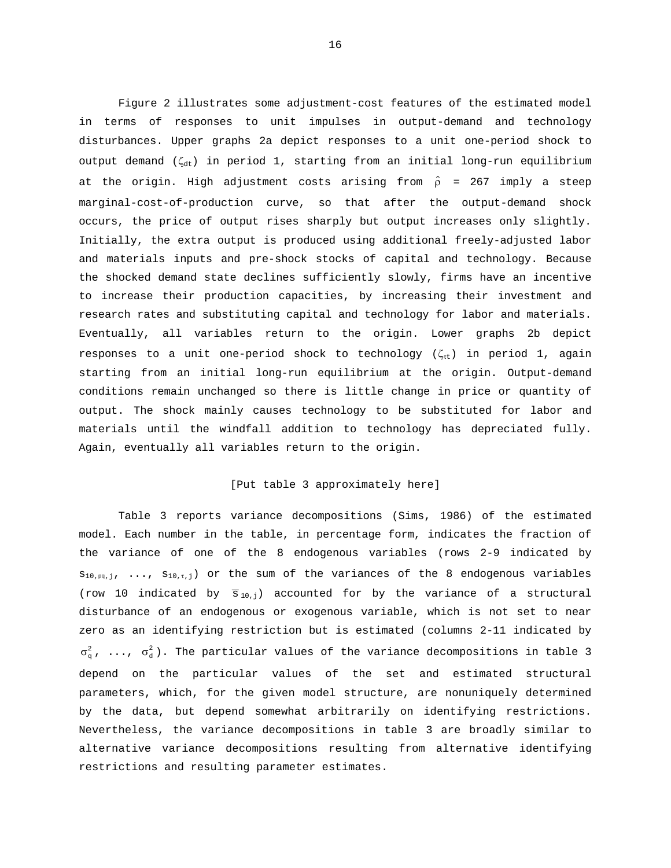Figure 2 illustrates some adjustment-cost features of the estimated model in terms of responses to unit impulses in output-demand and technology disturbances. Upper graphs 2a depict responses to a unit one-period shock to output demand ( $\zeta_{dt}$ ) in period 1, starting from an initial long-run equilibrium at the origin. High adjustment costs arising from  $\hat{\rho}$  = 267 imply a steep marginal-cost-of-production curve, so that after the output-demand shock occurs, the price of output rises sharply but output increases only slightly. Initially, the extra output is produced using additional freely-adjusted labor and materials inputs and pre-shock stocks of capital and technology. Because the shocked demand state declines sufficiently slowly, firms have an incentive to increase their production capacities, by increasing their investment and research rates and substituting capital and technology for labor and materials. Eventually, all variables return to the origin. Lower graphs 2b depict responses to a unit one-period shock to technology ( $\zeta_{\text{rt}}$ ) in period 1, again starting from an initial long-run equilibrium at the origin. Output-demand conditions remain unchanged so there is little change in price or quantity of output. The shock mainly causes technology to be substituted for labor and materials until the windfall addition to technology has depreciated fully. Again, eventually all variables return to the origin.

#### [Put table 3 approximately here]

Table 3 reports variance decompositions (Sims, 1986) of the estimated model. Each number in the table, in percentage form, indicates the fraction of the variance of one of the 8 endogenous variables (rows 2-9 indicated by  $s_{10,pg,j}, \ldots, s_{10,t,j}$  or the sum of the variances of the 8 endogenous variables (row 10 indicated by  $\overline{s}_{10,j}$ ) accounted for by the variance of a structural disturbance of an endogenous or exogenous variable, which is not set to near zero as an identifying restriction but is estimated (columns 2-11 indicated by  $\sigma_{\alpha}^2$ , ...,  $\sigma_{\alpha}^2$ ). The particular values of the variance decompositions in table 3 depend on the particular values of the set and estimated structural parameters, which, for the given model structure, are nonuniquely determined by the data, but depend somewhat arbitrarily on identifying restrictions. Nevertheless, the variance decompositions in table 3 are broadly similar to alternative variance decompositions resulting from alternative identifying restrictions and resulting parameter estimates.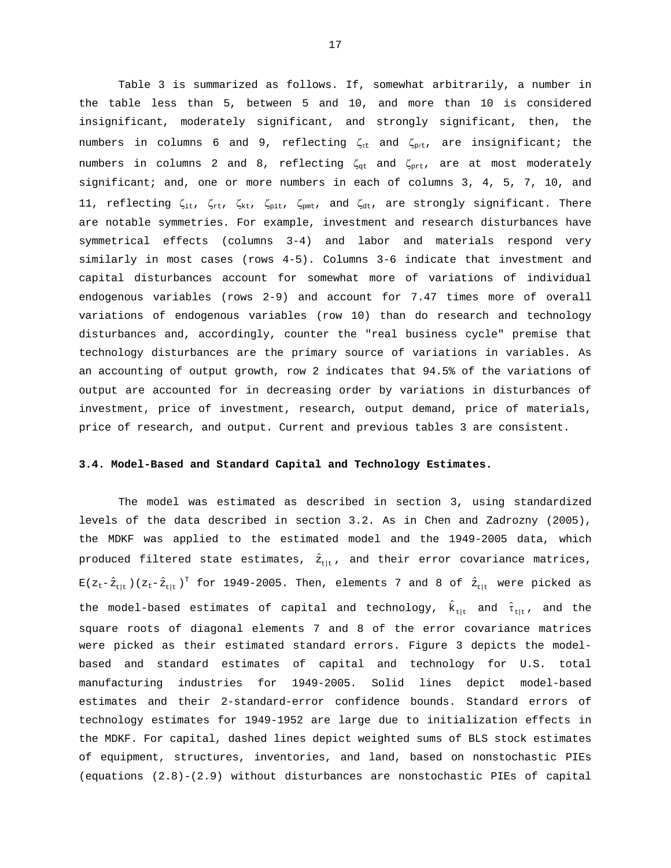Table 3 is summarized as follows. If, somewhat arbitrarily, a number in the table less than 5, between 5 and 10, and more than 10 is considered insignificant, moderately significant, and strongly significant, then, the numbers in columns 6 and 9, reflecting  $\zeta_{\text{rt}}$  and  $\zeta_{\text{p}/\text{t}}$ , are insignificant; the numbers in columns 2 and 8, reflecting  $\zeta_{\text{gt}}$  and  $\zeta_{\text{prt}}$ , are at most moderately significant; and, one or more numbers in each of columns 3, 4, 5, 7, 10, and 11, reflecting  $\zeta_{it}$ ,  $\zeta_{rt}$ ,  $\zeta_{kt}$ ,  $\zeta_{pit}$ ,  $\zeta_{put}$ , and  $\zeta_{dt}$ , are strongly significant. There are notable symmetries. For example, investment and research disturbances have symmetrical effects (columns 3-4) and labor and materials respond very similarly in most cases (rows 4-5). Columns 3-6 indicate that investment and capital disturbances account for somewhat more of variations of individual endogenous variables (rows 2-9) and account for 7.47 times more of overall variations of endogenous variables (row 10) than do research and technology disturbances and, accordingly, counter the "real business cycle" premise that technology disturbances are the primary source of variations in variables. As an accounting of output growth, row 2 indicates that 94.5% of the variations of output are accounted for in decreasing order by variations in disturbances of investment, price of investment, research, output demand, price of materials, price of research, and output. Current and previous tables 3 are consistent.

#### **3.4. Model-Based and Standard Capital and Technology Estimates.**

The model was estimated as described in section 3, using standardized levels of the data described in section 3.2. As in Chen and Zadrozny (2005), the MDKF was applied to the estimated model and the 1949-2005 data, which produced filtered state estimates,  $\hat{z}_{t|t}$ , and their error covariance matrices,  $E(z_t-\hat{z}_{t|t}$  )( $z_t-\hat{z}_{t|t}$  ) $^T$  for 1949-2005. Then, elements 7 and 8 of  $\hat{z}_{t|t}$  were picked as the model-based estimates of capital and technology,  $\hat{k}_{t|t}$  and  $\hat{\tau}_{t|t}$ , and the square roots of diagonal elements 7 and 8 of the error covariance matrices were picked as their estimated standard errors. Figure 3 depicts the modelbased and standard estimates of capital and technology for U.S. total manufacturing industries for 1949-2005. Solid lines depict model-based estimates and their 2-standard-error confidence bounds. Standard errors of technology estimates for 1949-1952 are large due to initialization effects in the MDKF. For capital, dashed lines depict weighted sums of BLS stock estimates of equipment, structures, inventories, and land, based on nonstochastic PIEs (equations (2.8)-(2.9) without disturbances are nonstochastic PIEs of capital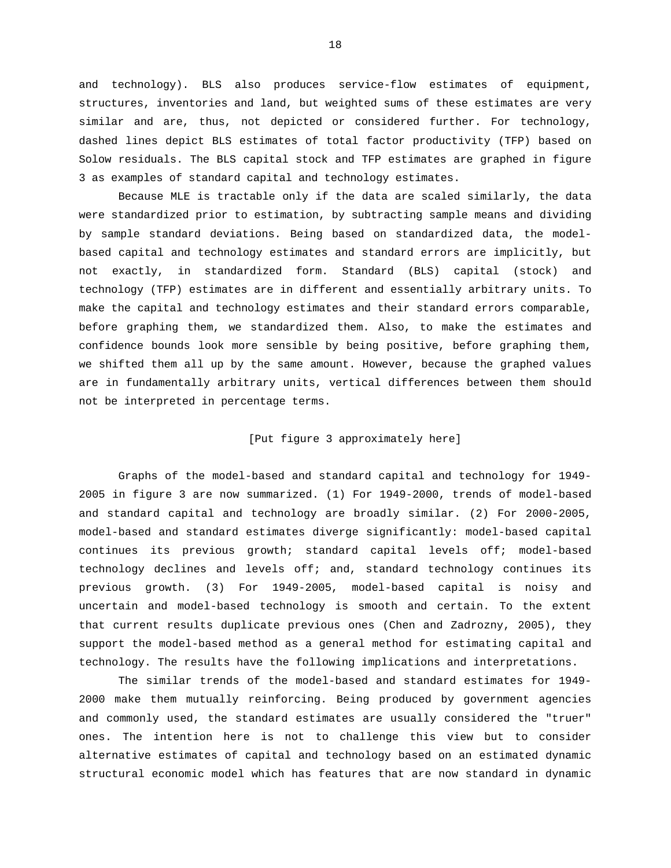and technology). BLS also produces service-flow estimates of equipment, structures, inventories and land, but weighted sums of these estimates are very similar and are, thus, not depicted or considered further. For technology, dashed lines depict BLS estimates of total factor productivity (TFP) based on Solow residuals. The BLS capital stock and TFP estimates are graphed in figure 3 as examples of standard capital and technology estimates.

Because MLE is tractable only if the data are scaled similarly, the data were standardized prior to estimation, by subtracting sample means and dividing by sample standard deviations. Being based on standardized data, the modelbased capital and technology estimates and standard errors are implicitly, but not exactly, in standardized form. Standard (BLS) capital (stock) and technology (TFP) estimates are in different and essentially arbitrary units. To make the capital and technology estimates and their standard errors comparable, before graphing them, we standardized them. Also, to make the estimates and confidence bounds look more sensible by being positive, before graphing them, we shifted them all up by the same amount. However, because the graphed values are in fundamentally arbitrary units, vertical differences between them should not be interpreted in percentage terms.

## [Put figure 3 approximately here]

Graphs of the model-based and standard capital and technology for 1949- 2005 in figure 3 are now summarized. (1) For 1949-2000, trends of model-based and standard capital and technology are broadly similar. (2) For 2000-2005, model-based and standard estimates diverge significantly: model-based capital continues its previous growth; standard capital levels off; model-based technology declines and levels off; and, standard technology continues its previous growth. (3) For 1949-2005, model-based capital is noisy and uncertain and model-based technology is smooth and certain. To the extent that current results duplicate previous ones (Chen and Zadrozny, 2005), they support the model-based method as a general method for estimating capital and technology. The results have the following implications and interpretations.

The similar trends of the model-based and standard estimates for 1949- 2000 make them mutually reinforcing. Being produced by government agencies and commonly used, the standard estimates are usually considered the "truer" ones. The intention here is not to challenge this view but to consider alternative estimates of capital and technology based on an estimated dynamic structural economic model which has features that are now standard in dynamic

18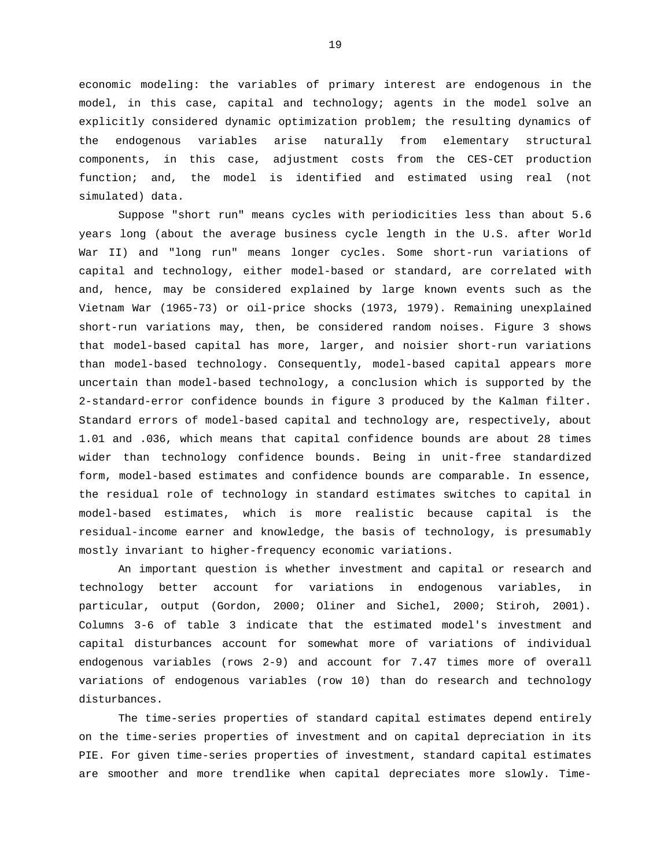economic modeling: the variables of primary interest are endogenous in the model, in this case, capital and technology; agents in the model solve an explicitly considered dynamic optimization problem; the resulting dynamics of the endogenous variables arise naturally from elementary structural components, in this case, adjustment costs from the CES-CET production function; and, the model is identified and estimated using real (not simulated) data.

Suppose "short run" means cycles with periodicities less than about 5.6 years long (about the average business cycle length in the U.S. after World War II) and "long run" means longer cycles. Some short-run variations of capital and technology, either model-based or standard, are correlated with and, hence, may be considered explained by large known events such as the Vietnam War (1965-73) or oil-price shocks (1973, 1979). Remaining unexplained short-run variations may, then, be considered random noises. Figure 3 shows that model-based capital has more, larger, and noisier short-run variations than model-based technology. Consequently, model-based capital appears more uncertain than model-based technology, a conclusion which is supported by the 2-standard-error confidence bounds in figure 3 produced by the Kalman filter. Standard errors of model-based capital and technology are, respectively, about 1.01 and .036, which means that capital confidence bounds are about 28 times wider than technology confidence bounds. Being in unit-free standardized form, model-based estimates and confidence bounds are comparable. In essence, the residual role of technology in standard estimates switches to capital in model-based estimates, which is more realistic because capital is the residual-income earner and knowledge, the basis of technology, is presumably mostly invariant to higher-frequency economic variations.

An important question is whether investment and capital or research and technology better account for variations in endogenous variables, in particular, output (Gordon, 2000; Oliner and Sichel, 2000; Stiroh, 2001). Columns 3-6 of table 3 indicate that the estimated model's investment and capital disturbances account for somewhat more of variations of individual endogenous variables (rows 2-9) and account for 7.47 times more of overall variations of endogenous variables (row 10) than do research and technology disturbances.

The time-series properties of standard capital estimates depend entirely on the time-series properties of investment and on capital depreciation in its PIE. For given time-series properties of investment, standard capital estimates are smoother and more trendlike when capital depreciates more slowly. Time-

19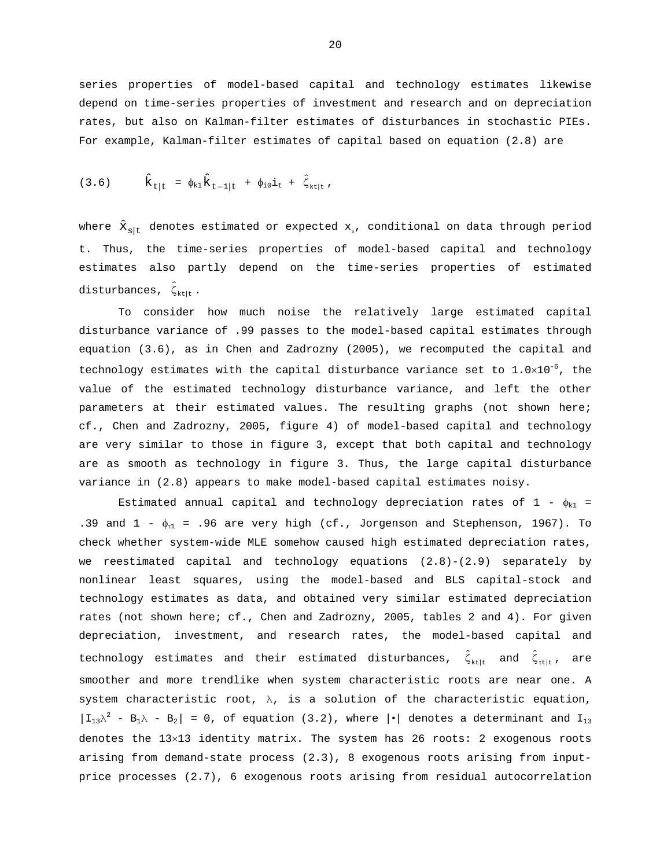series properties of model-based capital and technology estimates likewise depend on time-series properties of investment and research and on depreciation rates, but also on Kalman-filter estimates of disturbances in stochastic PIEs. For example, Kalman-filter estimates of capital based on equation (2.8) are

(3.6) 
$$
\hat{k}_{t|t} = \phi_{k1} \hat{k}_{t-1|t} + \phi_{i0} i_t + \hat{\zeta}_{k|t}
$$
,

where  $\hat{x}_{s|t}$  denotes estimated or expected  $x_{s}$ , conditional on data through period t. Thus, the time-series properties of model-based capital and technology estimates also partly depend on the time-series properties of estimated disturbances,  $\hat{\zeta}_{k+1}$ .

To consider how much noise the relatively large estimated capital disturbance variance of .99 passes to the model-based capital estimates through equation (3.6), as in Chen and Zadrozny (2005), we recomputed the capital and technology estimates with the capital disturbance variance set to  $1.0 \times 10^{-6}$ , the value of the estimated technology disturbance variance, and left the other parameters at their estimated values. The resulting graphs (not shown here; cf., Chen and Zadrozny, 2005, figure 4) of model-based capital and technology are very similar to those in figure 3, except that both capital and technology are as smooth as technology in figure 3. Thus, the large capital disturbance variance in (2.8) appears to make model-based capital estimates noisy.

Estimated annual capital and technology depreciation rates of  $1 - \phi_{k1} =$ .39 and  $1 - \phi_{t1} = .96$  are very high (cf., Jorgenson and Stephenson, 1967). To check whether system-wide MLE somehow caused high estimated depreciation rates, we reestimated capital and technology equations (2.8)-(2.9) separately by nonlinear least squares, using the model-based and BLS capital-stock and technology estimates as data, and obtained very similar estimated depreciation rates (not shown here; cf., Chen and Zadrozny, 2005, tables 2 and 4). For given depreciation, investment, and research rates, the model-based capital and technology estimates and their estimated disturbances,  $\hat{\zeta}_{\text{ktlt}}$  and  $\hat{\zeta}_{\text{tlit}}$ , are smoother and more trendlike when system characteristic roots are near one. A system characteristic root,  $\lambda$ , is a solution of the characteristic equation,  $|I_{13}\lambda^2 - B_1\lambda - B_2| = 0$ , of equation (3.2), where  $|\cdot|$  denotes a determinant and  $I_{13}$ denotes the 13×13 identity matrix. The system has 26 roots: 2 exogenous roots arising from demand-state process (2.3), 8 exogenous roots arising from inputprice processes (2.7), 6 exogenous roots arising from residual autocorrelation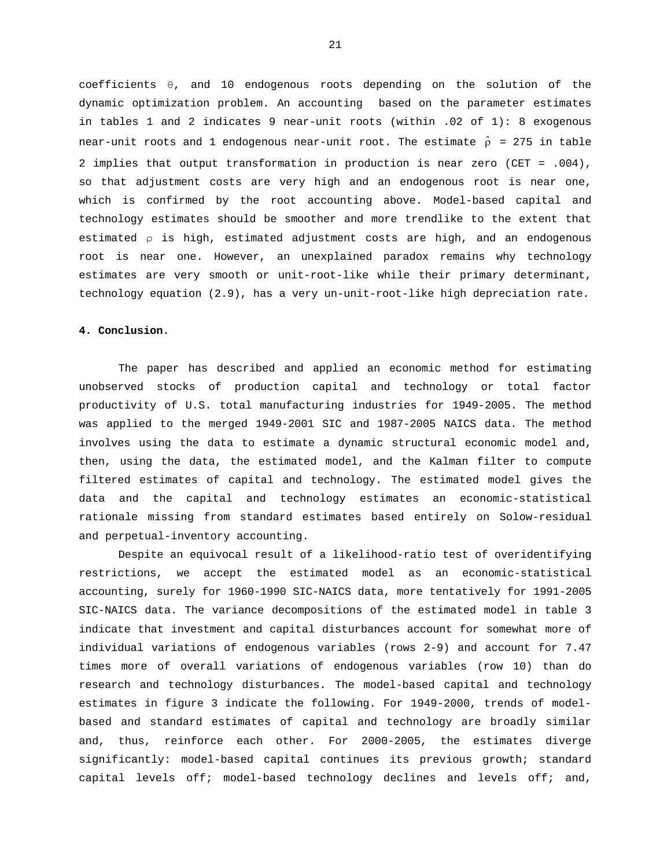coefficients θ, and 10 endogenous roots depending on the solution of the dynamic optimization problem. An accounting based on the parameter estimates in tables 1 and 2 indicates 9 near-unit roots (within .02 of 1): 8 exogenous near-unit roots and 1 endogenous near-unit root. The estimate  $\hat{\rho}$  = 275 in table 2 implies that output transformation in production is near zero (CET = .004), so that adjustment costs are very high and an endogenous root is near one, which is confirmed by the root accounting above. Model-based capital and technology estimates should be smoother and more trendlike to the extent that estimated  $\rho$  is high, estimated adjustment costs are high, and an endogenous root is near one. However, an unexplained paradox remains why technology estimates are very smooth or unit-root-like while their primary determinant, technology equation (2.9), has a very un-unit-root-like high depreciation rate.

#### **4. Conclusion.**

The paper has described and applied an economic method for estimating unobserved stocks of production capital and technology or total factor productivity of U.S. total manufacturing industries for 1949-2005. The method was applied to the merged 1949-2001 SIC and 1987-2005 NAICS data. The method involves using the data to estimate a dynamic structural economic model and, then, using the data, the estimated model, and the Kalman filter to compute filtered estimates of capital and technology. The estimated model gives the data and the capital and technology estimates an economic-statistical rationale missing from standard estimates based entirely on Solow-residual and perpetual-inventory accounting.

Despite an equivocal result of a likelihood-ratio test of overidentifying restrictions, we accept the estimated model as an economic-statistical accounting, surely for 1960-1990 SIC-NAICS data, more tentatively for 1991-2005 SIC-NAICS data. The variance decompositions of the estimated model in table 3 indicate that investment and capital disturbances account for somewhat more of individual variations of endogenous variables (rows 2-9) and account for 7.47 times more of overall variations of endogenous variables (row 10) than do research and technology disturbances. The model-based capital and technology estimates in figure 3 indicate the following. For 1949-2000, trends of modelbased and standard estimates of capital and technology are broadly similar and, thus, reinforce each other. For 2000-2005, the estimates diverge significantly: model-based capital continues its previous growth; standard capital levels off; model-based technology declines and levels off; and,

21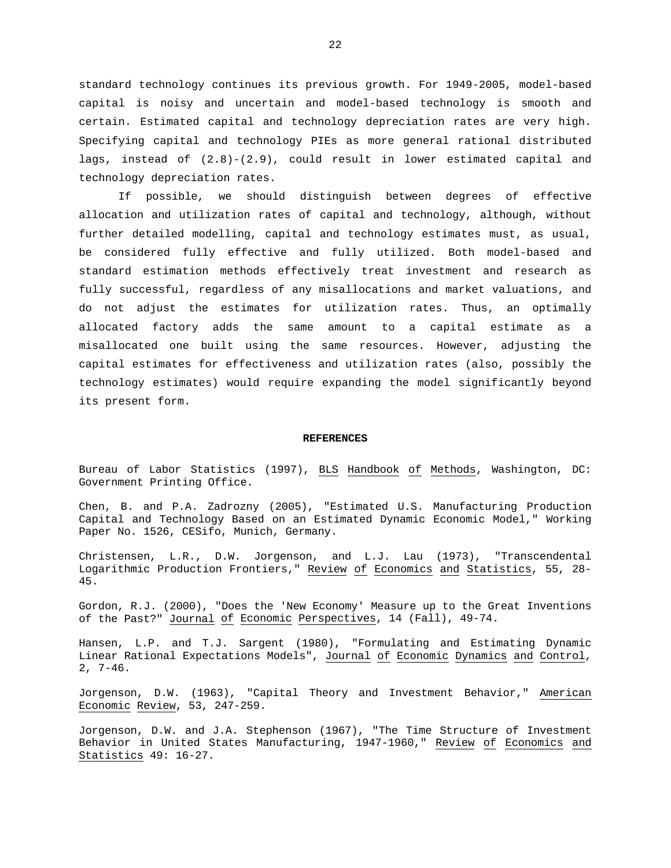standard technology continues its previous growth. For 1949-2005, model-based capital is noisy and uncertain and model-based technology is smooth and certain. Estimated capital and technology depreciation rates are very high. Specifying capital and technology PIEs as more general rational distributed lags, instead of (2.8)-(2.9), could result in lower estimated capital and technology depreciation rates.

If possible, we should distinguish between degrees of effective allocation and utilization rates of capital and technology, although, without further detailed modelling, capital and technology estimates must, as usual, be considered fully effective and fully utilized. Both model-based and standard estimation methods effectively treat investment and research as fully successful, regardless of any misallocations and market valuations, and do not adjust the estimates for utilization rates. Thus, an optimally allocated factory adds the same amount to a capital estimate as a misallocated one built using the same resources. However, adjusting the capital estimates for effectiveness and utilization rates (also, possibly the technology estimates) would require expanding the model significantly beyond its present form.

#### **REFERENCES**

Bureau of Labor Statistics (1997), BLS Handbook of Methods, Washington, DC: Government Printing Office.

Chen, B. and P.A. Zadrozny (2005), "Estimated U.S. Manufacturing Production Capital and Technology Based on an Estimated Dynamic Economic Model," Working Paper No. 1526, CESifo, Munich, Germany.

Christensen, L.R., D.W. Jorgenson, and L.J. Lau (1973), "Transcendental Logarithmic Production Frontiers," Review of Economics and Statistics, 55, 28- 45.

Gordon, R.J. (2000), "Does the 'New Economy' Measure up to the Great Inventions of the Past?" Journal of Economic Perspectives, 14 (Fall), 49-74.

Hansen, L.P. and T.J. Sargent (1980), "Formulating and Estimating Dynamic Linear Rational Expectations Models", Journal of Economic Dynamics and Control, 2, 7-46.

Jorgenson, D.W. (1963), "Capital Theory and Investment Behavior," American Economic Review, 53, 247-259.

Jorgenson, D.W. and J.A. Stephenson (1967), "The Time Structure of Investment Behavior in United States Manufacturing, 1947-1960," Review of Economics and Statistics 49: 16-27.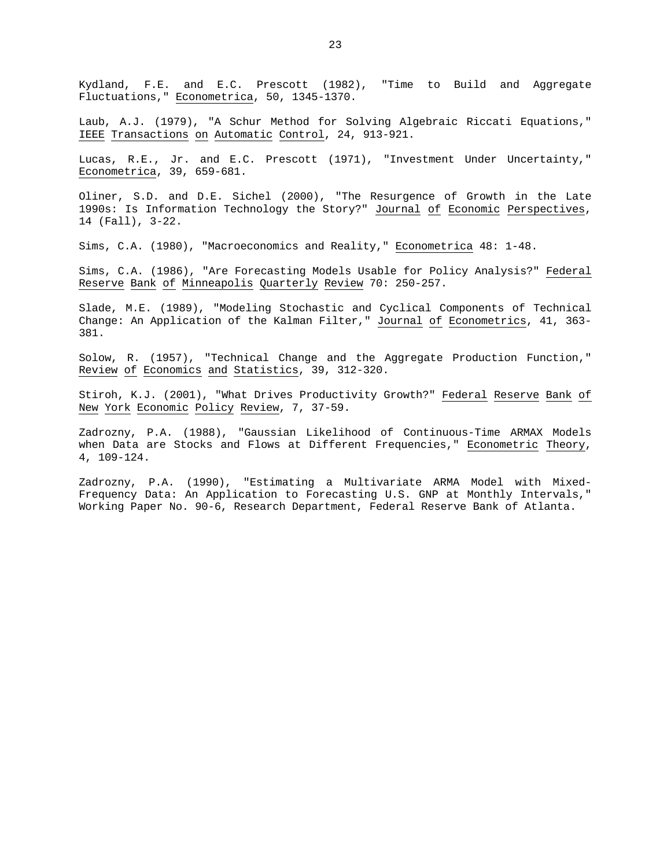Kydland, F.E. and E.C. Prescott (1982), "Time to Build and Aggregate Fluctuations," Econometrica, 50, 1345-1370.

Laub, A.J. (1979), "A Schur Method for Solving Algebraic Riccati Equations," IEEE Transactions on Automatic Control, 24, 913-921.

Lucas, R.E., Jr. and E.C. Prescott (1971), "Investment Under Uncertainty," Econometrica, 39, 659-681.

Oliner, S.D. and D.E. Sichel (2000), "The Resurgence of Growth in the Late 1990s: Is Information Technology the Story?" Journal of Economic Perspectives, 14 (Fall), 3-22.

Sims, C.A. (1980), "Macroeconomics and Reality," Econometrica 48: 1-48.

Sims, C.A. (1986), "Are Forecasting Models Usable for Policy Analysis?" Federal Reserve Bank of Minneapolis Quarterly Review 70: 250-257.

Slade, M.E. (1989), "Modeling Stochastic and Cyclical Components of Technical Change: An Application of the Kalman Filter," Journal of Econometrics, 41, 363- 381.

Solow, R. (1957), "Technical Change and the Aggregate Production Function," Review of Economics and Statistics, 39, 312-320.

Stiroh, K.J. (2001), "What Drives Productivity Growth?" Federal Reserve Bank of New York Economic Policy Review, 7, 37-59.

Zadrozny, P.A. (1988), "Gaussian Likelihood of Continuous-Time ARMAX Models when Data are Stocks and Flows at Different Frequencies," Econometric Theory, 4, 109-124.

Zadrozny, P.A. (1990), "Estimating a Multivariate ARMA Model with Mixed-Frequency Data: An Application to Forecasting U.S. GNP at Monthly Intervals," Working Paper No. 90-6, Research Department, Federal Reserve Bank of Atlanta.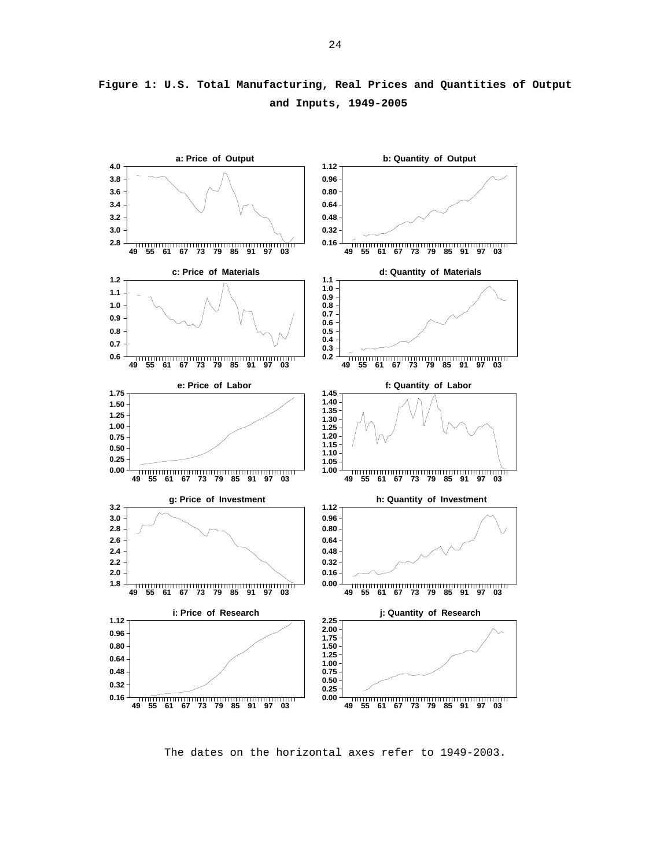

**Figure 1: U.S. Total Manufacturing, Real Prices and Quantities of Output and Inputs, 1949-2005** 

The dates on the horizontal axes refer to 1949-2003.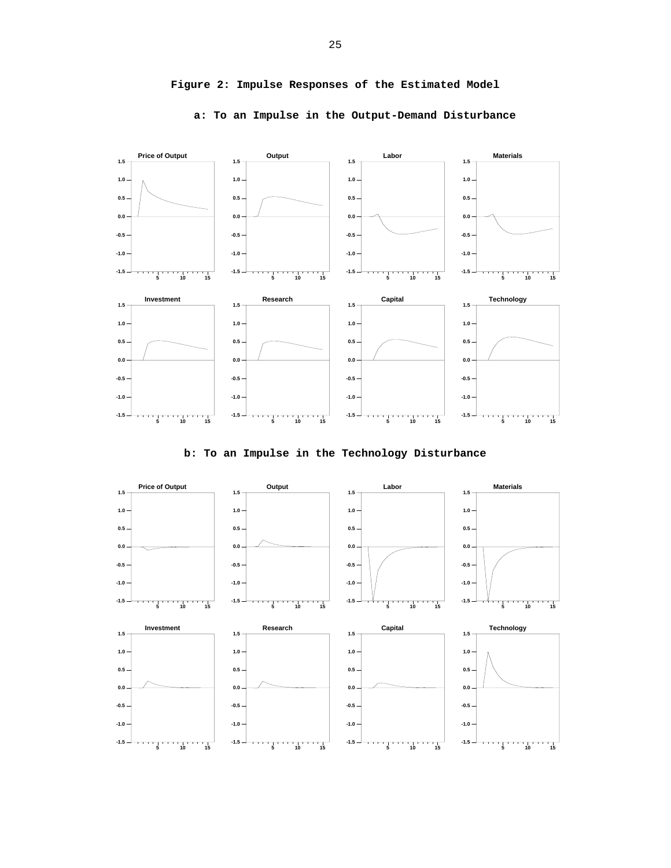

## **Figure 2: Impulse Responses of the Estimated Model**

**a: To an Impulse in the Output-Demand Disturbance** 



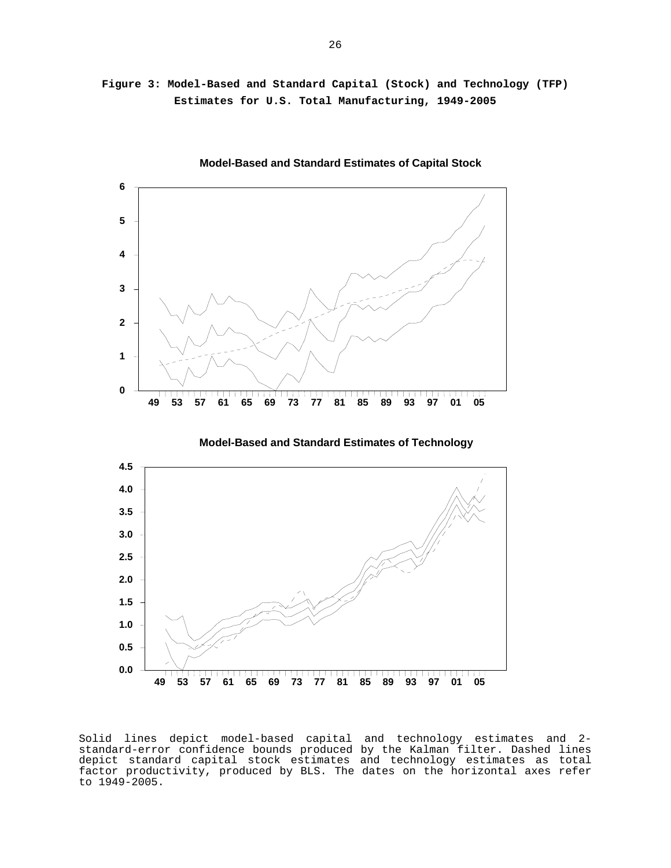**Figure 3: Model-Based and Standard Capital (Stock) and Technology (TFP) Estimates for U.S. Total Manufacturing, 1949-2005** 



 **Model-Based and Standard Estimates of Capital Stock**

Solid lines depict model-based capital and technology estimates and 2 standard-error confidence bounds produced by the Kalman filter. Dashed lines depict standard capital stock estimates and technology estimates as total factor productivity, produced by BLS. The dates on the horizontal axes refer to 1949-2005.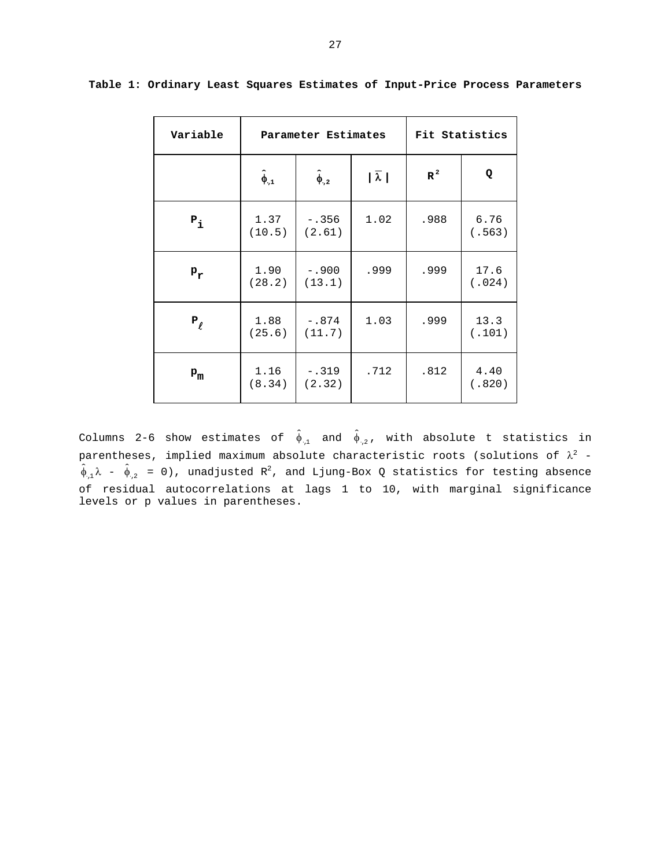| Variable   |                   | Parameter Estimates | Fit Statistics    |       |                |
|------------|-------------------|---------------------|-------------------|-------|----------------|
|            | $\hat{\phi}_{.1}$ | $\hat{\phi}_{.2}$   | $ \bar{\lambda} $ | $R^2$ | Q              |
| $P_{i}$    | 1.37<br>(10.5)    | $-.356$<br>(2.61)   | 1.02              | .988  | 6.76<br>(.563) |
| $P_T$      | 1.90<br>(28.2)    | $-.900$<br>(13.1)   | .999              | .999  | 17.6<br>(.024) |
| $P_{\ell}$ | 1.88<br>(25.6)    | $-.874$<br>(11.7)   | 1.03              | .999  | 13.3<br>(.101) |
| $P_{m}$    | 1.16<br>(8.34)    | $-.319$<br>(2.32)   | .712              | .812  | 4.40<br>(.820) |

**Table 1: Ordinary Least Squares Estimates of Input-Price Process Parameters** 

Columns 2-6 show estimates of  $\hat{\phi}_{1,1}$  and  $\hat{\phi}_{1,2}$ , with absolute t statistics in parentheses, implied maximum absolute characteristic roots (solutions of  $\lambda^2$  - $\hat{\phi}_{1,1}\lambda$  -  $\hat{\phi}_{1,2}$  = 0), unadjusted R<sup>2</sup>, and Ljung-Box Q statistics for testing absence of residual autocorrelations at lags 1 to 10, with marginal significance levels or p values in parentheses.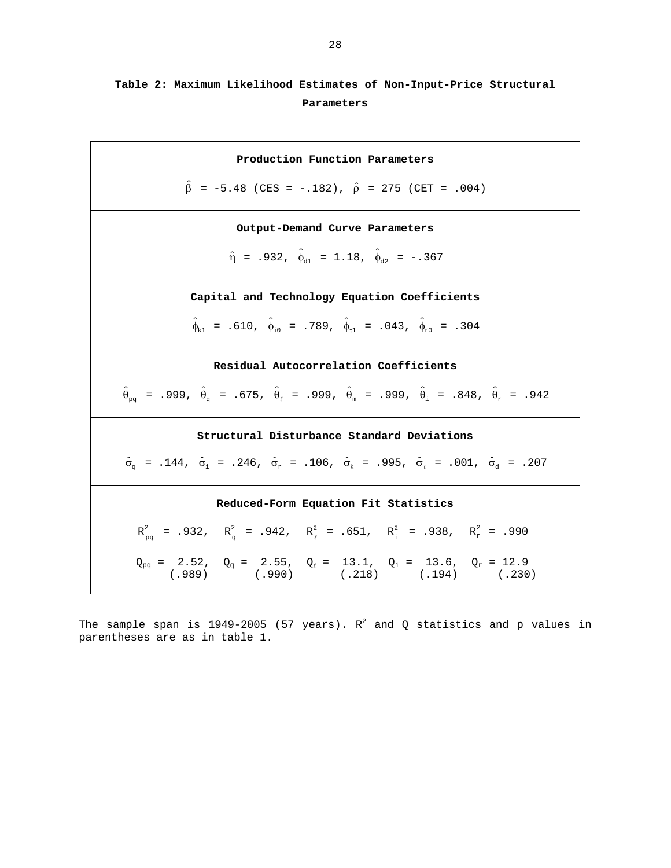# **Table 2: Maximum Likelihood Estimates of Non-Input-Price Structural Parameters**

**Production Function Parameters**   $\hat{\beta}$  = -5.48 (CES = -.182),  $\hat{\rho}$  = 275 (CET = .004) **Output-Demand Curve Parameters**   $\hat{\eta}$  = .932,  $\hat{\phi}_{d1}$  = 1.18,  $\hat{\phi}_{d2}$  = -.367 **Capital and Technology Equation Coefficients**   $\hat{\phi}_{k_1}$  = .610,  $\hat{\phi}_{i_0}$  = .789,  $\hat{\phi}_{r_1}$  = .043,  $\hat{\phi}_{r_0}$  = .304 **Residual Autocorrelation Coefficients**   $\hat{\theta}_{pq}$  = .999,  $\hat{\theta}_{q}$  = .675,  $\hat{\theta}_{\ell}$  = .999,  $\hat{\theta}_{m}$  = .999,  $\hat{\theta}_{i}$  = .848,  $\hat{\theta}_{r}$  = .942 **Structural Disturbance Standard Deviations**   $\hat{\sigma}_{\alpha}$  = .144,  $\hat{\sigma}_{i}$  = .246,  $\hat{\sigma}_{r}$  = .106,  $\hat{\sigma}_{k}$  = .995,  $\hat{\sigma}_{\tau}$  = .001,  $\hat{\sigma}_{d}$  = .207 **Reduced-Form Equation Fit Statistics**   $R_{pq}^2$  = .932,  $R_q^2$  = .942,  $R_{\ell}^2$  = .651,  $R_i^2$  = .938,  $R_r^2$  = .990  $\rm Q_{pq}$  = 2.52,  $\rm Q_q$  = 2.55,  $\rm Q_\ell$  = 13.1,  $\rm Q_i$  = 13.6,  $\rm Q_r$  = 12.9 (.989) (.990) (.218) (.194) (.230)

The sample span is 1949–2005 (57 years).  $R^2$  and Q statistics and p values in parentheses are as in table 1.